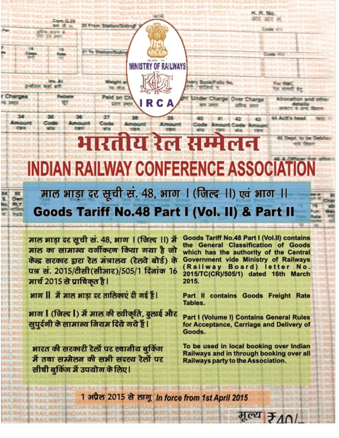# भारतीय रेल सम्मेलन Deet, to be Det **INDIAN RAILWAY CONFERENCE ASSOCIATION**

**MINISTRY OF RAILWAYS** 

R C A

**BookFollo No** 

Charge Over Charge

माल भाड़ा दर सूची सं. 48, भाग । (जिल्द ।।) एवं भाग ।। Goods Tariff No.48 Part I (Vol. II) & Part II

माल भाड़ा दर सूची सं. 48, भाग । (जिल्द ।।) में माल का सामान्य वर्गीकरण किया गया है जो केंद्र सरकार द्वारा रेल मंत्रालय (रेलवे बोर्ड) के पत्र सं. 2015/टीसी (सीआर)/505/1 दिनांक 16 मार्च 2015 से प्राधिकृत है।

भाग II में माल भाड़ा दर तालिकाएं दी गई हैं।

Corm G. 29

**图 选 2** 

Charges

34

Amount

**RP**<sub>4</sub>

Code

Ammus

20 From Station/Siding

यह लोज

Paid on Cl

 $37$ 

Code

भाग | (जिल्द |) में माल की स्वीकृति, ढ्लाई और सुपूर्दगी के सामान्य नियम दिये गये हैं।

भारत की सरकारी रेलों पर स्थानीय बुकिंग में तथा सम्मेलन की सभी सदस्य रेलों पर सीधी बुकिंग में उपयोग के लिए।

**Goods Tariff No.48 Part I (Vol.II) contains** the General Classification of Goods which has the authority of the Central **Government vide Ministry of Railways** (Railway Board) letter No. 2015/TC(CR)/505/1) dated 16th March 2015.

H. R. No. कार आर म

Code situ

For RMC

LL Arm's h

रेज मामग्री हेत

Allocation and other

andre it are 6

Part II contains Goods Freight Rate Tables.

**Part I (Volume I) Contains General Rules** for Acceptance, Carriage and Delivery of Goods.

To be used in local booking over Indian Railways and in through booking over all **Railways party to the Association.** 

मुल्य के 10

1 अप्रैल 2015 से लागू In force from 1st April 2015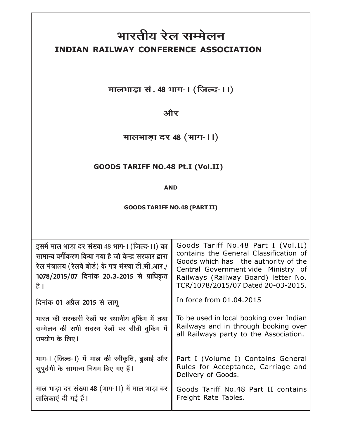# भारतीय रेल सम्मेलन INDIAN RAILWAY CONFERENCE ASSOCIATION

मालभाड़ा सं. 48 भाग- । (जिल्द- ।।)

और

मालभाड़ा दर 48 (भाग- ।।)

#### **GOODS TARIFF NO.48 Pt.I (Vol.II)**

#### **AND**

#### **GOODS TARIFF NO.48 (PART II)**

| इसमें माल भाड़ा दर संख्या 48 भाग-। (जिल्द-।।) का<br>सामान्य वर्गीकरण किया गया है जो केन्द्र सरकार द्वारा<br>रेल मंत्रालय (रेलवे बोर्ड) के पत्र संख्या टी.सी.आर./<br>1078/2015/07 दिनांक 20.3.2015 से प्राधिकृत<br>है । | Goods Tariff No.48 Part I (Vol.II)<br>contains the General Classification of<br>Goods which has the authority of the<br>Central Government vide Ministry of<br>Railways (Railway Board) letter No.<br>TCR/1078/2015/07 Dated 20-03-2015. |
|------------------------------------------------------------------------------------------------------------------------------------------------------------------------------------------------------------------------|------------------------------------------------------------------------------------------------------------------------------------------------------------------------------------------------------------------------------------------|
| दिनांक 01 अप्रैल 2015 से लागू                                                                                                                                                                                          | In force from 01.04.2015                                                                                                                                                                                                                 |
| भारत की सरकारी रेलों पर स्थानीय बुकिंग में तथा<br>सम्मेलन की सभी सदस्य रेलों पर सीधी बुकिंग में<br>उपयोग के लिए।                                                                                                       | To be used in local booking over Indian<br>Railways and in through booking over<br>all Railways party to the Association.                                                                                                                |
| भाग-। (जिल्द-।) में माल की स्वीकृति, ढुलाई और<br>सुपूर्दगी के सामान्य नियम दिए गए हैं।                                                                                                                                 | Part I (Volume I) Contains General<br>Rules for Acceptance, Carriage and<br>Delivery of Goods.                                                                                                                                           |
| माल भाड़ा दर संख्या 48 (भाग-11) में माल भाड़ा दर<br>तालिकाएं दी गई हैं।                                                                                                                                                | Goods Tariff No.48 Part II contains<br>Freight Rate Tables.                                                                                                                                                                              |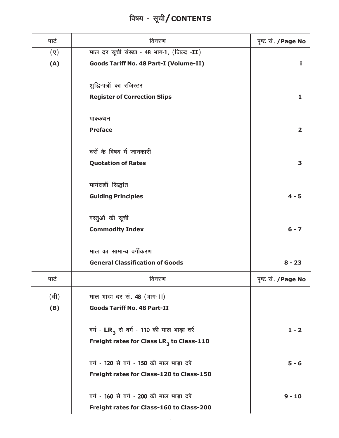#### पार्ट विवरण पृष्ट सं. /Page No माल दर सूची संख्या - 48 भाग-1, (जिल्द -II)  $(\overline{y})$  $(A)$ **Goods Tariff No. 48 Part-I (Volume-II)** Î. शूद्धि-पत्रों का रजिस्टर **Register of Correction Slips**  $\mathbf{1}$ प्राक्कथन **Preface**  $\overline{2}$ दरों के विषय में जानकारी **Quotation of Rates** 3 मार्गदर्शी सिद्धांत **Guiding Principles**  $4 - 5$ वस्तुओं की सूची **Commodity Index**  $6 - 7$ माल का सामान्य वर्गीकरण **General Classification of Goods**  $8 - 23$ पार्ट विवरण पृष्ट सं. / Page No (बी) माल भाड़ा दर सं. 48 (भाग-11) **Goods Tariff No. 48 Part-II**  $(B)$ वर्ग - LR<sub>3</sub> से वर्ग - 110 की माल भाड़ा दरें  $1 - 2$ Freight rates for Class LR<sub>3</sub> to Class-110 वर्ग - 120 से वर्ग - 150 की माल भाड़ा दरें  $5 - 6$ Freight rates for Class-120 to Class-150 वर्ग - 160 से वर्ग - 200 की माल भाड़ा दरें  $9 - 10$ Freight rates for Class-160 to Class-200

## विषय - सूची/CONTENTS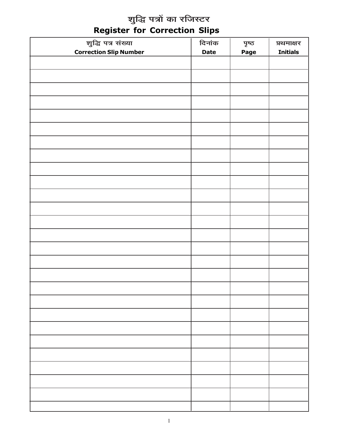# शुद्धि पत्रों का रजिस्टर<br>Register for Correction Slips

| शुद्धि पत्र संख्या            | दिनांक      | ਧ੍ਰਾਕ       | प्रथमाक्षर      |
|-------------------------------|-------------|-------------|-----------------|
| <b>Correction Slip Number</b> | <b>Date</b> | <b>Page</b> | <b>Initials</b> |
|                               |             |             |                 |
|                               |             |             |                 |
|                               |             |             |                 |
|                               |             |             |                 |
|                               |             |             |                 |
|                               |             |             |                 |
|                               |             |             |                 |
|                               |             |             |                 |
|                               |             |             |                 |
|                               |             |             |                 |
|                               |             |             |                 |
|                               |             |             |                 |
|                               |             |             |                 |
|                               |             |             |                 |
|                               |             |             |                 |
|                               |             |             |                 |
|                               |             |             |                 |
|                               |             |             |                 |
|                               |             |             |                 |
|                               |             |             |                 |
|                               |             |             |                 |
|                               |             |             |                 |
|                               |             |             |                 |
|                               |             |             |                 |
|                               |             |             |                 |
|                               |             |             |                 |
|                               |             |             |                 |
|                               |             |             |                 |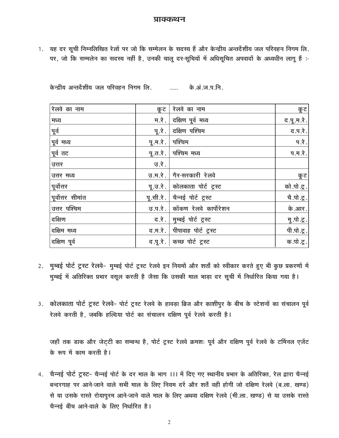#### प्राक्कथन

1. यह दर सूची निम्नलिखित रेलों पर जो कि सम्मेलन के सदस्य हैं और केन्द्रीय अन्तर्देशीय जल परिवहन निगम लि. पर, जो कि सम्मलेन का सदस्य नहीं है, उनकी चालू दर-सूचियों में अधिसूचित अपवादों के अध्यधीन लागू हैं :-

| रेलवे का नाम      | कूट               | रेलवे का नाम                    | कूट          |
|-------------------|-------------------|---------------------------------|--------------|
| मध्य              |                   | म.रे.   दक्षिण पूर्व मध्य       | द.पू.म.रे.   |
| पूर्व             | पू.रे.            | दक्षिण पश्चिम                   | द.प.रे.      |
| पूर्व मध्य        | पू.म.रे.   पश्चिम |                                 | प.रे.        |
| पूर्व तट          |                   | पू.त.रे.   पश्चिम मध्य          | प.म.रे.      |
| उत्तर             | उ.रे.             |                                 |              |
| उत्तर मध्य        |                   | उ.म.रे.   गैर-सरकारी रेलवे      | कूट          |
| पूर्वोत्तर        |                   | पू.उ.रे.   कोलकाता पोर्ट ट्रस्ट | को .पो .टू . |
| पूर्वोत्तर सीमांत |                   | पृ.सी.रे.   चैन्नई पोर्ट ट्रस्ट | चै.पो.टू.    |
| उत्तर पश्चिम      |                   | उ.प.रे. कोंकण रेलवे कार्पोरेशन  | के .आर.      |
| दक्षिण            |                   | द.रे.   मुम्बई पोर्ट ट्रस्ट     | मु.पो.टू.    |
| दक्षिम मध्य       |                   | द.म.रे.   पीपावाह पोर्ट ट्रस्ट  | पी.पो.टू.    |
| दक्षिण पूर्व      |                   | द.पू.रे.   कच्छ पोर्ट ट्रस्ट    | क.पो.टू.     |

- 2. मुम्बई पोर्ट ट्रस्ट रेलवे- मुम्बई पोर्ट ट्रस्ट रेलवे इन नियमों और शर्तों को स्वीकार करते हुए भी कुछ प्रकरणों में मुम्बई में अतिरिक्त प्रभार वसूल करती है जैसा कि उसकी माल भाड़ा दर सूची में निर्धारित किया गया है।
- 3. कोलकाता पोर्ट ट्रस्ट रेलवे- पोर्ट ट्रस्ट रेलवे के हावड़ा ब्रिज और काशीपुर के बीच के स्टेशनों का संचालन पूर्व रेलवे करती है, जबकि हल्दिया पोर्ट का संचालन दक्षिण पूर्व रेलवे करती है।

जहाँ तक डाक और जेट्टी का सम्बन्ध है, पोर्ट ट्रस्ट रेलवे क्रमशः पूर्व और दक्षिण पूर्व रेलवे के टर्मिनल एजेंट के रूप में काम करती है।

4. चैन्नई पोर्ट ट्रस्ट- चैन्नई पोर्ट के दर माल के भाग ।।। में दिए गए स्थानीय प्रभार के अतिरिक्त, रेल द्वारा चैन्नई बन्दरगाह पर आने-जाने वाले सभी माल के लिए नियम दरें और शर्तें वही होगी जो दक्षिण रेलवे (ब.ला. खण्ड) से या उसके रास्ते रोयापुरम आने-जाने वाले माल के लिए अथवा दक्षिण रेलवे (मी.ला. खण्ड) से या उसके रास्ते चैन्नई बीच आने-वाले के लिए निर्धारित है।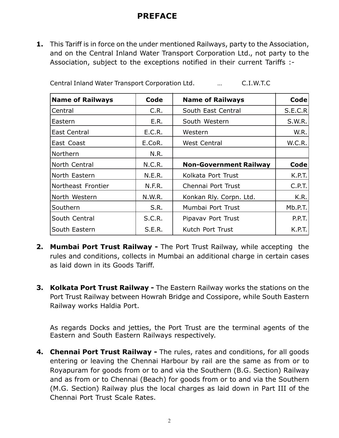#### PREFACE

1. This Tariff is in force on the under mentioned Railways, party to the Association, and on the Central Inland Water Transport Corporation Ltd., not party to the Association, subject to the exceptions notified in their current Tariffs :-

| <b>Name of Railways</b> | Code          | <b>Name of Railways</b>       | Code    |
|-------------------------|---------------|-------------------------------|---------|
| Central                 | C.R.          | South East Central            | S.E.C.R |
| Eastern                 | E.R.          | South Western                 | S.W.R.  |
| East Central            | E.C.R.        | Western                       | W.R.    |
| East Coast              | E.CoR.        | <b>West Central</b>           | W.C.R.  |
| Northern                | N.R.          |                               |         |
| North Central           | N.C.R.        | <b>Non-Government Railway</b> | Code    |
| North Eastern           | N.E.R.        | Kolkata Port Trust            | K.P.T.  |
| Northeast Frontier      | N.F.R.        | Chennai Port Trust            | C.P.T.  |
| North Western           | <b>N.W.R.</b> | Konkan Rly. Corpn. Ltd.       | K.R.    |
| Southern                | S.R.          | Mumbai Port Trust             | Mb.P.T. |
| South Central           | S.C.R.        | Pipavav Port Trust            | P.P.T.  |
| South Eastern           | <b>S.E.R.</b> | Kutch Port Trust              | K.P.T.  |

Central Inland Water Transport Corporation Ltd. … C.I.W.T.C

- **2. Mumbai Port Trust Railway -** The Port Trust Railway, while accepting the rules and conditions, collects in Mumbai an additional charge in certain cases as laid down in its Goods Tariff.
- 3. Kolkata Port Trust Railway The Eastern Railway works the stations on the Port Trust Railway between Howrah Bridge and Cossipore, while South Eastern Railway works Haldia Port.

As regards Docks and jetties, the Port Trust are the terminal agents of the Eastern and South Eastern Railways respectively.

4. Chennai Port Trust Railway - The rules, rates and conditions, for all goods entering or leaving the Chennai Harbour by rail are the same as from or to Royapuram for goods from or to and via the Southern (B.G. Section) Railway and as from or to Chennai (Beach) for goods from or to and via the Southern (M.G. Section) Railway plus the local charges as laid down in Part III of the Chennai Port Trust Scale Rates.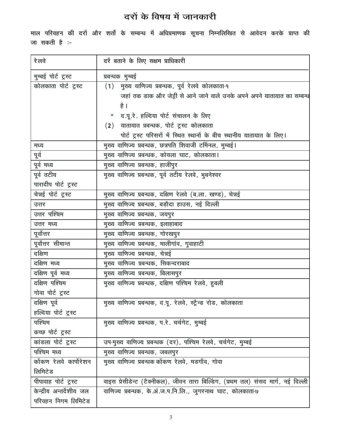## दरों के विषय में जानकारी

माल परिवहन की दरों और शर्तों के सम्बन्ध में अधिप्रमाणक सूचना निम्नलिखित से आवेदन करके प्राप्त की जा सकती है :-

| रे लवे                   | दरें बताने के लिए सक्षम प्राधिकारी                                                |
|--------------------------|-----------------------------------------------------------------------------------|
| मुम्बई पोर्ट ट्रस्ट      | प्रबन्धक मुम्बई                                                                   |
| कोलकाता पोर्ट ट्रस्ट     | मुख्य वाणिज्य प्रबन्धक, पूर्व रेलवे कोलकाता-१<br>(1)                              |
|                          | जहां तक डाक और जेट्टी से आने जाने वाले उनके अपने अपने यातायात का सम्बन्ध          |
|                          | है ।                                                                              |
|                          | * द.पू.रे. हल्दिया पोर्ट संचालन के लिए                                            |
|                          | (2) यातायात प्रबन्धक, पोर्ट ट्रस्ट कोलकाता                                        |
|                          | पोर्ट ट्रस्ट परिसरों में स्थित स्थानों के बीच स्थानीय यातायात के लिए।             |
| मध्य                     | मुख्य वाणिज्य प्रबन्धक, छत्रपति शिवाजी टर्मिनल, मुम्बई।                           |
| पूर्व                    | मुख्य वाणिज्य प्रबन्धक, कोयला घाट, कोलकाता।                                       |
| पूर्व मध्य               | मुख्य वाणिज्य प्रबन्धक, हाजीपुर                                                   |
| पूर्व तटीय               | मुख्य वाणिज्य प्रबन्धक, पूर्व तटीय रेलवे, भुबनेश्वर                               |
| पारादीप पोर्ट ट्रस्ट     |                                                                                   |
| चेन्नई पोर्ट ट्रस्ट      | मुख्य वाणिज्य प्रबन्धक, दक्षिण रेलवे (ब.ला. खण्ड), चेन्नई                         |
| उत्तर                    | मुख्य वाणिज्य प्रबन्धक, बड़ौदा हाउस, नई दिल्ली                                    |
| उत्तर पश्चिम             | मुख्य वाणिज्य प्रबन्धक, जयपुर                                                     |
| उत्तर मध्य               | मुख्य वाणिज्य प्रबन्धक, इलाहाबाद                                                  |
| पूर्वोत्तर               | मुख्य वाणिज्य प्रबन्धक, गोरखपुर                                                   |
| पूर्वोत्तर सीमान्त       | मुख्य वाणिज्य प्रबन्धक, मालीगांव, गुवाहाटी                                        |
| दक्षिण                   | मुख्य वाणिज्य प्रबन्धक, चेन्नई                                                    |
| दक्षिण मध्य              | मुख्य वाणिज्य प्रबन्धक, सिकन्दराबाद                                               |
| दक्षिण पूर्व मध्य        | मुख्य वाणिज्य प्रबन्धक, बिलासपुर                                                  |
| दक्षिण पश्चिम            | मुख्य वाणिज्य प्रबन्धक, दक्षिण पश्चिम रेलवे, हुबली                                |
| गोवा पोर्ट ट्रस्ट        |                                                                                   |
| दक्षिण पूर्व             | मुख्य वाणिज्य प्रबन्धक, द.पू. रेलवे, स्ट्रैन्ड रोड, कोलकाता                       |
| हल्दिया पोर्ट ट्रस्ट     |                                                                                   |
| पश्चिम                   | मुख्य वाणिज्य प्रबन्धक, प.रे. चर्चगेट, मुम्बई                                     |
| कच्छ पोर्ट ट्रस्ट        |                                                                                   |
| कांडला पोर्ट ट्रस्ट      | उप-मुख्य वाणिज्य प्रबन्धक (दर), पश्चिम रेलवे, चर्चगेट, मुम्बई                     |
| पश्चिम मध्य              | मुख्य वाणिज्य प्रबन्धक, जबलपुर                                                    |
| कोंकण रेलवे कार्पोरेशन   | मुख्य वाणिज्य प्रबन्धक कोंकण रेलवे, मडगाँव, गोवा                                  |
| लिमिटेड                  |                                                                                   |
| पीपावाह पोर्ट ट्रस्ट     | वाइस प्रेसीडेन्ट (टैक्नीकल), जीवन तारा बिल्डिंग, (प्रथम तल) संसद मार्ग, नई दिल्ली |
| केन्द्रीय अन्तर्देशीय जल | वाणिज्य प्रबन्धक, के.अं.ज.प.नि.लि., जुगरनाथ घाट, कोलकाता-७                        |
| परिवहन निगम लिमिटेड      |                                                                                   |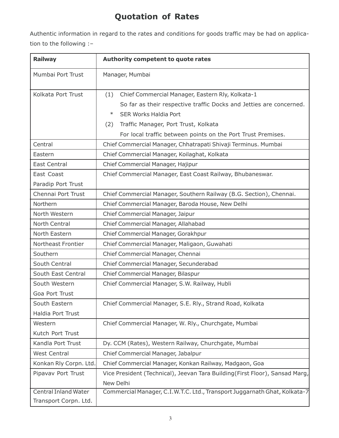## Quotation of Rates

Authentic information in regard to the rates and conditions for goods traffic may be had on application to the following :–

| <b>Railway</b>                                       | <b>Authority competent to quote rates</b>                                                                                                                                                                                                                                               |
|------------------------------------------------------|-----------------------------------------------------------------------------------------------------------------------------------------------------------------------------------------------------------------------------------------------------------------------------------------|
| Mumbai Port Trust                                    | Manager, Mumbai                                                                                                                                                                                                                                                                         |
| Kolkata Port Trust                                   | (1)<br>Chief Commercial Manager, Eastern Rly, Kolkata-1<br>So far as their respective traffic Docks and Jetties are concerned.<br>$\ast$<br><b>SER Works Haldia Port</b><br>Traffic Manager, Port Trust, Kolkata<br>(2)<br>For local traffic between points on the Port Trust Premises. |
| Central                                              | Chief Commercial Manager, Chhatrapati Shivaji Terminus. Mumbai                                                                                                                                                                                                                          |
| Eastern                                              | Chief Commercial Manager, Koilaghat, Kolkata                                                                                                                                                                                                                                            |
| <b>East Central</b>                                  | Chief Commercial Manager, Hajipur                                                                                                                                                                                                                                                       |
| East Coast<br>Paradip Port Trust                     | Chief Commercial Manager, East Coast Railway, Bhubaneswar.                                                                                                                                                                                                                              |
| Chennai Port Trust                                   | Chief Commercial Manager, Southern Railway (B.G. Section), Chennai.                                                                                                                                                                                                                     |
| Northern                                             | Chief Commercial Manager, Baroda House, New Delhi                                                                                                                                                                                                                                       |
| North Western                                        | Chief Commercial Manager, Jaipur                                                                                                                                                                                                                                                        |
| North Central                                        | Chief Commercial Manager, Allahabad                                                                                                                                                                                                                                                     |
| North Eastern                                        | Chief Commercial Manager, Gorakhpur                                                                                                                                                                                                                                                     |
| Northeast Frontier                                   | Chief Commercial Manager, Maligaon, Guwahati                                                                                                                                                                                                                                            |
| Southern                                             | Chief Commercial Manager, Chennai                                                                                                                                                                                                                                                       |
| South Central                                        | Chief Commercial Manager, Secunderabad                                                                                                                                                                                                                                                  |
| South East Central                                   | Chief Commercial Manager, Bilaspur                                                                                                                                                                                                                                                      |
| South Western                                        | Chief Commercial Manager, S.W. Railway, Hubli                                                                                                                                                                                                                                           |
| Goa Port Trust                                       |                                                                                                                                                                                                                                                                                         |
| South Eastern                                        | Chief Commercial Manager, S.E. Rly., Strand Road, Kolkata                                                                                                                                                                                                                               |
| Haldia Port Trust                                    |                                                                                                                                                                                                                                                                                         |
| Western                                              | Chief Commercial Manager, W. Rly., Churchgate, Mumbai                                                                                                                                                                                                                                   |
| Kutch Port Trust                                     |                                                                                                                                                                                                                                                                                         |
| Kandla Port Trust                                    | Dy. CCM (Rates), Western Railway, Churchgate, Mumbai                                                                                                                                                                                                                                    |
| <b>West Central</b>                                  | Chief Commercial Manager, Jabalpur                                                                                                                                                                                                                                                      |
| Konkan Rly Corpn. Ltd.                               | Chief Commercial Manager, Konkan Railway, Madgaon, Goa                                                                                                                                                                                                                                  |
| Pipavav Port Trust                                   | Vice President (Technical), Jeevan Tara Building (First Floor), Sansad Marg,                                                                                                                                                                                                            |
|                                                      | New Delhi                                                                                                                                                                                                                                                                               |
| <b>Central Inland Water</b><br>Transport Corpn. Ltd. | Commercial Manager, C.I.W.T.C. Ltd., Transport Juggarnath Ghat, Kolkata-7                                                                                                                                                                                                               |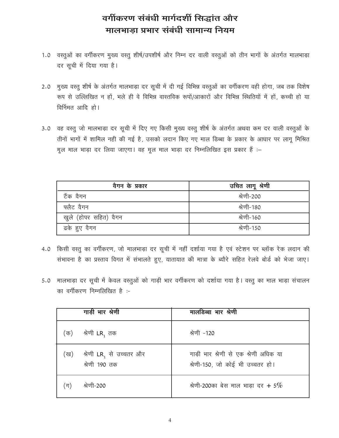## वर्गीकरण संबंधी मार्गदर्शी सिद्धांत और मालभाडा प्रभार संबंधी सामान्य नियम

- 1.0 वस्तुओं का वर्गीकरण मुख्य वस्तु शीर्ष/उपशीर्ष और निम्न दर वाली वस्तुओं को तीन भागों के अंतर्गत मालभाड़ा दर सूची में दिया गया है।
- मुख्य वस्तु शीर्ष के अंतर्गत मालभाड़ा दर सूची में दी गई विभिन्न वस्तुओं का वर्गीकरण वही होगा, जब तक विशेष  $2.0$ रूप से उल्लिखित न हों, भले ही वे विभिन्न वास्तविक रूपों/आकारों और विभिन्न स्थितियों में हों, कच्ची हो या विर्निमत आदि हो।
- 3.0 वह वस्तू जो मालभाड़ा दर सूची में दिए गए किसी मुख्य वस्तू शीर्ष के अंतर्गत अथवा कम दर वाली वस्तूओं के तीनों भागों में शामिल नही की गई है, उसको लदान किए गए माल डिब्बा के प्रकार के आधार पर लागू मिश्रित मूल माल भाड़ा दर लिया जाएगा। वह मूल माल भाड़ा दर निम्नलिखित इस प्रकार हैं :-

| वैगन के प्रकार        | उचित लागू श्रेणी |
|-----------------------|------------------|
| टैंक वैगन             | श्रेणी-200       |
| फ्लैट वैगन            | श्रेणी-180       |
| खुले (होपर सहित) वैगन | श्रेणी-160       |
| ढके हुए वैगन          | श्रेणी-150       |

- 4.0 किसी वस्तु का वर्गीकरण, जो मालभाड़ा दर सूची में नहीं दर्शाया गया है एवं स्टेशन पर ब्लॉक रेक लदान की संभावना है का प्रस्ताव विगत में संभालते हुए, यातायात की मात्रा के ब्यौरे सहित रेलवे बोर्ड को भेजा जाए।
- 5.0 मालभाड़ा दर सूची में केवल वस्तुओं को गाड़ी भार वर्गीकरण को दर्शाया गया है। वस्तु का माल भाड़ा संचालन का वर्गीकरण निम्नलिखित है :-

|     | गाड़ी भार श्रेणी                         | मालडिब्बा भार श्रेणी                                                      |
|-----|------------------------------------------|---------------------------------------------------------------------------|
| (क) | श्रेणी <b>LR</b> , तक                    | श्रेणी -120                                                               |
| (ख) | श्रेणी LR, से उच्चतर और<br>श्रेणी 190 तक | गाड़ी भार श्रेणी से एक श्रेणी अधिक या<br>श्रेणी-150, जो कोई भी उच्चतर हो। |
| ंग) | श्रेणी-200                               | श्रेणी-200का बेस माल भाड़ा दर + 5%                                        |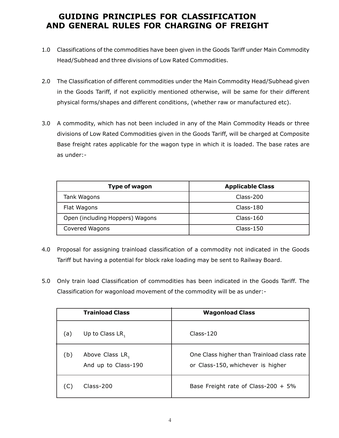#### GUIDING PRINCIPLES FOR CLASSIFICATION AND GENERAL RULES FOR CHARGING OF FREIGHT

- 1.0 Classifications of the commodities have been given in the Goods Tariff under Main Commodity Head/Subhead and three divisions of Low Rated Commodities.
- 2.0 The Classification of different commodities under the Main Commodity Head/Subhead given in the Goods Tariff, if not explicitly mentioned otherwise, will be same for their different physical forms/shapes and different conditions, (whether raw or manufactured etc).
- 3.0 A commodity, which has not been included in any of the Main Commodity Heads or three divisions of Low Rated Commodities given in the Goods Tariff, will be charged at Composite Base freight rates applicable for the wagon type in which it is loaded. The base rates are as under:-

| <b>Type of wagon</b>            | <b>Applicable Class</b> |
|---------------------------------|-------------------------|
| Tank Wagons                     | Class-200               |
| Flat Wagons                     | Class-180               |
| Open (including Hoppers) Wagons | $Class-160$             |
| Covered Wagons                  | $Class-150$             |

- 4.0 Proposal for assigning trainload classification of a commodity not indicated in the Goods Tariff but having a potential for block rake loading may be sent to Railway Board.
- 5.0 Only train load Classification of commodities has been indicated in the Goods Tariff. The Classification for wagonload movement of the commodity will be as under:-

|     | <b>Trainload Class</b>                 | <b>Wagonload Class</b>                                                          |
|-----|----------------------------------------|---------------------------------------------------------------------------------|
| (a) | Up to Class $LR_1$                     | $Class-120$                                                                     |
| (b) | Above Class LR,<br>And up to Class-190 | One Class higher than Trainload class rate<br>or Class-150, whichever is higher |
|     | $Class-200$                            | Base Freight rate of Class-200 + 5%                                             |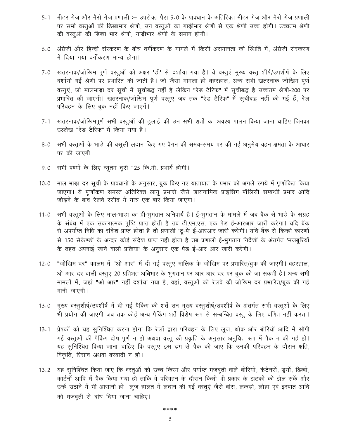- मीटर गेज और नैरो गेज प्रणाली :- उपरोक्त पैरा 5.0 के प्रावधान के अतिरिक्त मीटर गेज और नैरो गेज प्रणाली  $5.1$ पर सभी वस्तुओं की डिब्बाभार श्रेणी, उन वस्तुओं का गाड़ीभार श्रेणी से एक श्रेणी उच्च होगी। उच्चतम श्रेणी की वस्तुओं की डिब्बा भार श्रेणी, गाड़ीभार श्रेणी के समान होगी।
- 6.0 अंग्रेजी और हिन्दी संस्करण के बीच वर्गीकरण के मामले में किसी असमानता की स्थिति में, अंग्रेजी संस्करण में दिया गया वर्गीकरण मान्य होगा।
- 7.0 खतरनाक/जोखिम पूर्ण वस्तुओं को अक्षर 'डी' से दर्शाया गया है। ये वस्तुएं मुख्य वस्तु शीर्ष/उपशीर्ष के लिए दर्शायी गई श्रेणी पर प्रभारित की जाती है। जो जैसा मामला हो बहरहाल, अन्य सभी खतरनाक जोखिम पूर्ण वस्तुएं, जो मालभाड़ा दर सूची में सूचीबद्ध नहीं है लेकिन "रेड टैरिफ" में सूचीबद्ध है उच्चतम श्रेणी-200 पर प्रभारित की जाएगी। खतरनाक/जोखिम पूर्ण वस्तुएं जब तक "रेड टैरिफ" में सूचीबद्ध नहीं की गई हैं, रेल परिवहन के लिए बुक नहीं किए जाएगें।
- 7.1 खतरनाक/जोखिमपूर्ण सभी वस्तुओं की ढुलाई की उन सभी शर्तों का अवश्य पालन किया जाना चाहिए जिनका उल्लेख "रेड टैरिफ" में किया गया है।
- 8.0 सभी वस्तुओं के भाड़े की वसूली लदान किए गए वैगन की समय-समय पर की गई अनुमेय वहन क्षमता के आधार पर की जाएगी।
- 9.0 सभी पण्यों के लिए न्यूतम दूरी 125 कि.मी. प्रभार्य होगी।
- 10.0 माल भाड़ा दर सूची के प्रावधानों के अनुसार, बुक किए गए यातायात के प्रभार को अगले रुपये में पूर्णांकित किया जाएगा। ये पूर्णांकण समस्त अतिरिक्त लागू प्रभारों जैसे डायनामिक प्राईसिंग पॉलिसी सम्बन्धी प्रभार आदि जोड़ने के बाद रेलवे रसीद में मात्र एक बार किया जाएगा।
- 11.0 सभी वस्तुओं के लिए माल-भाड़ा का प्री-भुगतान अनिवार्य है। ई-भुगतान के मामले में जब बैंक से भाड़े के संग्रह के संबंध में एक सकारात्मक पुष्टि प्राप्त होती है तब टी.एम.एस. एक पेड ई-आरआर जारी करेगा। यदि बैंक से अपर्याप्त निधि का संदेश प्राप्त होता है तो प्रणाली 'टू-पे' ई-आरआर जारी करेगी। यदि बैंक से किन्ही कारणों से 150 सैकेण्डों के अन्दर कोई संदेश प्राप्त नही होता है तब प्रणाली ई-भूगतान निर्देशों के अंतर्गत 'मजबूरियों के तहत अपनाई जाने वाली प्रक्रिया' के अनुसार एक पेड ई-आर आर जारी करेगी।
- "जोखिम दर" कालम में "ओ आर" में दी गई वस्तुएं मालिक के जोखिम पर प्रभारित/बुक की जाएगी। बहरहाल,  $12.0$ ओ आर दर वाली वस्तुएं 20 प्रतिशत अधिभार के भुगतान पर आर आर दर पर बुक की जा सकती है। अन्य सभी मामलों में, जहां "ओ आर" नहीं दर्शाया गया है, वहां, वस्तूओं को रेलवे की जोखिम दर प्रभारित/बुक की गई मानी जाएगी।
- 13.0 मुख्य वस्तूशीर्ष/उपशीर्ष में दी गई पैकिंग की शर्तें उन मुख्य वस्तूशीर्ष/उपशीर्ष के अंतर्गत सभी वस्तूओं के लिए भी प्रयोग की जाएगी जब तक कोई अन्य पैकिंग शर्तें विशेष रूप से सम्बन्धित वस्तू के लिए वर्णित नहीं करता।
- 13.1 प्रेषकों को यह सुनिश्चित करना होगा कि रेलों द्वारा परिवहन के लिए लूज, थोक और बोरियों आदि में सौंपी गई वस्तुओं की पैकिंग दोष पूर्ण न हो अथवा वस्तु की प्रकृति के अनुसार अनुचित रूप में पैक न की गई हो। यह सुनिश्चित किया जाना चाहिए कि वस्तुएं इस ढंग से पैक की जाए कि उनकी परिवहन के दौरान क्षति, विकृति, रिसाव अथवा बरबादी न हो।
- यह सुनिश्चित किया जाए कि वस्तुओं को उच्च किस्म और पर्याप्त मज़बूती वाले बोरियों, कंटेनरों, ड्रुमों, डिब्बों,  $13.2$ कार्टनों आदि में पैक किया गया हो ताकि वे परिवहन के दौरान किसी भी प्रकार के झटकों को झेल सकें और उन्हें उठाने में भी आसानी हो। लूज हालत में लदान की गई वस्तूएं जैसे बांस, लकड़ी, लोहा एवं इस्पात आदि को मजबूती से बांध दिया जाना चाहिए।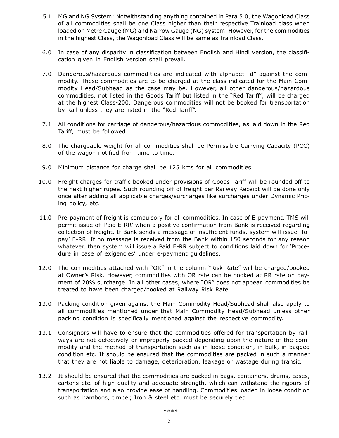- 5.1 MG and NG System: Notwithstanding anything contained in Para 5.0, the Wagonload Class of all commodities shall be one Class higher than their respective Trainload class when loaded on Metre Gauge (MG) and Narrow Gauge (NG) system. However, for the commodities in the highest Class, the Wagonload Class will be same as Trainload Class.
- 6.0 In case of any disparity in classification between English and Hindi version, the classification given in English version shall prevail.
- 7.0 Dangerous/hazardous commodities are indicated with alphabet "d" against the commodity. These commodities are to be charged at the class indicated for the Main Commodity Head/Subhead as the case may be. However, all other dangerous/hazardous commodities, not listed in the Goods Tariff but listed in the "Red Tariff", will be charged at the highest Class-200. Dangerous commodities will not be booked for transportation by Rail unless they are listed in the "Red Tariff".
- 7.1 All conditions for carriage of dangerous/hazardous commodities, as laid down in the Red Tariff, must be followed.
- 8.0 The chargeable weight for all commodities shall be Permissible Carrying Capacity (PCC) of the wagon notified from time to time.
- 9.0 Minimum distance for charge shall be 125 kms for all commodities.
- 10.0 Freight charges for traffic booked under provisions of Goods Tariff will be rounded off to the next higher rupee. Such rounding off of freight per Railway Receipt will be done only once after adding all applicable charges/surcharges like surcharges under Dynamic Pricing policy, etc.
- 11.0 Pre-payment of freight is compulsory for all commodities. In case of E-payment, TMS will permit issue of 'Paid E-RR' when a positive confirmation from Bank is received regarding collection of freight. If Bank sends a message of insufficient funds, system will issue 'Topay' E-RR. If no message is received from the Bank within 150 seconds for any reason whatever, then system will issue a Paid E-RR subject to conditions laid down for 'Procedure in case of exigencies' under e-payment guidelines.
- 12.0 The commodities attached with "OR" in the column "Risk Rate" will be charged/booked at Owner's Risk. However, commodities with OR rate can be booked at RR rate on payment of 20% surcharge. In all other cases, where "OR" does not appear, commodities be treated to have been charged/booked at Railway Risk Rate.
- 13.0 Packing condition given against the Main Commodity Head/Subhead shall also apply to all commodities mentioned under that Main Commodity Head/Subhead unless other packing condition is specifically mentioned against the respective commodity.
- 13.1 Consignors will have to ensure that the commodities offered for transportation by railways are not defectively or improperly packed depending upon the nature of the commodity and the method of transportation such as in loose condition, in bulk, in bagged condition etc. It should be ensured that the commodities are packed in such a manner that they are not liable to damage, deterioration, leakage or wastage during transit.
- 13.2 It should be ensured that the commodities are packed in bags, containers, drums, cases, cartons etc. of high quality and adequate strength, which can withstand the rigours of transportation and also provide ease of handling. Commodities loaded in loose condition such as bamboos, timber, Iron & steel etc. must be securely tied.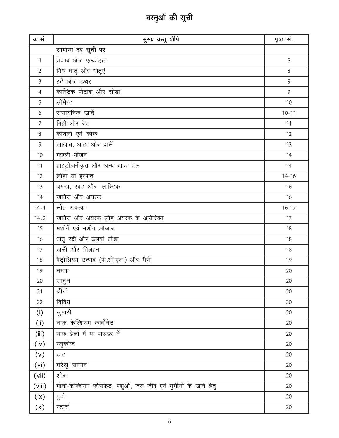# वस्तुओं की सूची

| क्र.सं.        | मुख्य वस्तु शीर्ष                                              | पृष्ठ सं. |
|----------------|----------------------------------------------------------------|-----------|
|                | सामान्य दर सूची पर                                             |           |
| $\mathbf{1}$   | तेजाब और एल्कोहल                                               | 8         |
| $\overline{2}$ | मिश्र धातु और धातुएं                                           | 8         |
| $\mathfrak{Z}$ | इंटे और पत्थर                                                  | 9         |
| 4              | कास्टिक पोटाश और सोड़ा                                         | 9         |
| 5              | सीमेन्ट                                                        | 10        |
| 6              | रासायनिक खादें                                                 | $10 - 11$ |
| $\overline{7}$ | मिट्टी और रेत                                                  | 11        |
| $8\,$          | कोयला एवं कोक                                                  | 12        |
| $\mathcal{G}$  | खाद्यान्न, आटा और दालें                                        | 13        |
| 10             | मछली भोजन                                                      | 14        |
| 11             | हाइड्रोजनीकृत और अन्य खाद्य तेल                                | 14        |
| 12             | लोहा या इस्पात                                                 | $14 - 16$ |
| 13             | चमड़ा, रबड़ और प्लास्टिक                                       | 16        |
| 14             | खनिज और अयस्क                                                  | 16        |
| 14.1           | लौह अयस्क                                                      | $16 - 17$ |
| 14.2           | खनिज और अयस्क लौह अयस्क के अतिरिक्त                            | 17        |
| 15             | मशीनें एवं मशीन औजार                                           | 18        |
| 16             | धातु रद्दी और ढलवां लोहा                                       | 18        |
| 17             | खली और तिलहन                                                   | 18        |
| 18             | पैट्रोलियम उत्पाद (पी.ओ.एल.) और गैसें                          | 19        |
| 19             | नमक                                                            | 20        |
| 20             | साबुन                                                          | 20        |
| 21             | चीनी                                                           | 20        |
| 22             | विविध                                                          | 20        |
| (i)            | सुपारी                                                         | 20        |
| (i)            | चाक कैल्शियम कार्बोनेट                                         | 20        |
| (iii)          | चाक ढेलों में या पाउडर में                                     | 20        |
| (iv)           | ग्लुकोज                                                        | 20        |
| (v)            | टाट                                                            | 20        |
| (vi)           | घरेलु सामान                                                    | 20        |
| (vii)          | शीरा                                                           | 20        |
| (viii)         | मोनो-कैल्शियम फॉसफेट, पशुओं, जल जीव एवं मुर्गीयों के खाने हेतु | 20        |
| (ix)           | पुट्टी                                                         | 20        |
| (x)            | स्टार्च                                                        | 20        |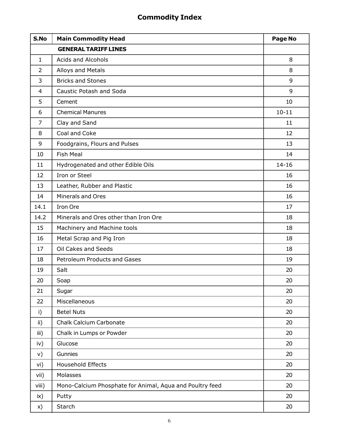## Commodity Index

| S.No            | <b>Main Commodity Head</b>                               | Page No         |
|-----------------|----------------------------------------------------------|-----------------|
|                 | <b>GENERAL TARIFF LINES</b>                              |                 |
| $\mathbf{1}$    | <b>Acids and Alcohols</b>                                | 8               |
| $\overline{2}$  | Alloys and Metals                                        | 8               |
| 3               | <b>Bricks and Stones</b>                                 | 9               |
| 4               | <b>Caustic Potash and Soda</b>                           | 9               |
| 5               | Cement                                                   | 10              |
| 6               | <b>Chemical Manures</b>                                  | $10 - 11$       |
| $\overline{7}$  | Clay and Sand                                            | 11              |
| 8               | Coal and Coke                                            | 12 <sup>2</sup> |
| 9               | Foodgrains, Flours and Pulses                            | 13              |
| 10              | <b>Fish Meal</b>                                         | 14              |
| 11              | Hydrogenated and other Edible Oils                       | $14 - 16$       |
| 12              | Iron or Steel                                            | 16              |
| 13              | Leather, Rubber and Plastic                              | 16              |
| 14              | Minerals and Ores                                        | 16              |
| 14.1            | Iron Ore                                                 | 17              |
| 14.2            | Minerals and Ores other than Iron Ore                    | 18              |
| 15              | Machinery and Machine tools                              | 18              |
| 16              | Metal Scrap and Pig Iron                                 | 18              |
| 17              | Oil Cakes and Seeds                                      | 18              |
| 18              | <b>Petroleum Products and Gases</b>                      | 19              |
| 19              | Salt                                                     | 20              |
| 20              | Soap                                                     | 20              |
| 21              | Sugar                                                    | 20              |
| 22              | Miscellaneous                                            | 20              |
| i)              | <b>Betel Nuts</b>                                        | 20              |
| $\mathsf{ii}$ ) | <b>Chalk Calcium Carbonate</b>                           | 20              |
| iii)            | Chalk in Lumps or Powder                                 | 20              |
| iv)             | Glucose                                                  | 20              |
| V)              | Gunnies                                                  | 20              |
| vi)             | Household Effects                                        | 20              |
| vii)            | Molasses                                                 | 20              |
| viii)           | Mono-Calcium Phosphate for Animal, Aqua and Poultry feed | 20              |
| ix)             | Putty                                                    | 20              |
| X)              | Starch                                                   | 20              |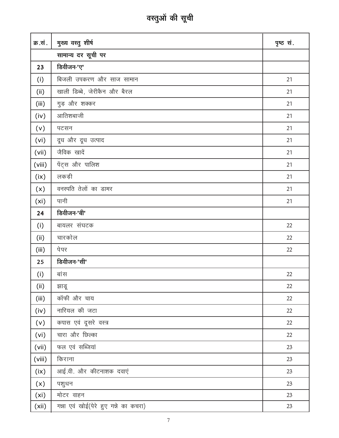# वस्तुओं की सूची

| क्र.सं. | मुख्य वस्तु शीर्ष                     | पृष्ठ सं. |
|---------|---------------------------------------|-----------|
|         | सामान्य दर सूची पर                    |           |
| 23      | डिवीजन-'ए'                            |           |
| (i)     | बिजली उपकरण और साज सामान              | 21        |
| (ii)    | खाली डिब्बे, जेरीकैन और बैरल          | 21        |
| (iii)   | गुड़ और शक्कर                         | 21        |
| (iv)    | आतिशबाजी                              | 21        |
| (v)     | पटसन                                  | 21        |
| (vi)    | दूध और दूध उत्पाद                     | 21        |
| (vii)   | जैविक खादें                           | 21        |
| (viii)  | पेंट्स और पालिश                       | 21        |
| (ix)    | लकड़ी                                 | 21        |
| (x)     | वनस्पति तेलों का डामर                 | 21        |
| (xi)    | पानी                                  | 21        |
| 24      | डिवीजन-'बी'                           |           |
| (i)     | बायलर संघटक                           | 22        |
| (ii)    | चारकोल                                | 22        |
| (iii)   | पेपर                                  | 22        |
| 25      | डिवीजन-'सी'                           |           |
| (i)     | बांस                                  | 22        |
| (i)     | झाडू                                  | 22        |
| (iii)   | कॉफी और चाय                           | 22        |
| (iv)    | नारियल की जटा                         | 22        |
| (v)     | कपास एवं दूसरे वस्त्र                 | 22        |
| (vi)    | चारा और छिल्का                        | 22        |
| (vii)   | फल एवं सब्जियां                       | 23        |
| (viii)  | किराना                                | 23        |
| (ix)    | आई.वी. और कीटनाशक दवाएं               | 23        |
| (x)     | पशुधन                                 | 23        |
| (xi)    | मोटर वाहन                             | 23        |
| (xii)   | गन्ना एवं खोई(पेरे हुए गन्ने का कचरा) | 23        |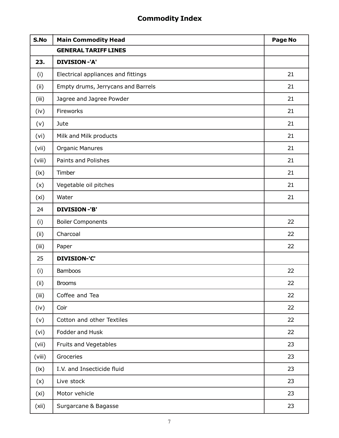## Commodity Index

| S.No   | <b>Main Commodity Head</b>         | Page No |
|--------|------------------------------------|---------|
|        | <b>GENERAL TARIFF LINES</b>        |         |
| 23.    | <b>DIVISION-'A'</b>                |         |
| (i)    | Electrical appliances and fittings | 21      |
| (ii)   | Empty drums, Jerrycans and Barrels | 21      |
| (iii)  | Jagree and Jagree Powder           | 21      |
| (iv)   | Fireworks                          | 21      |
| (v)    | Jute                               | 21      |
| (vi)   | Milk and Milk products             | 21      |
| (vii)  | <b>Organic Manures</b>             | 21      |
| (viii) | Paints and Polishes                | 21      |
| (ix)   | Timber                             | 21      |
| (x)    | Vegetable oil pitches              | 21      |
| (xi)   | Water                              | 21      |
| 24     | <b>DIVISION-'B'</b>                |         |
| (i)    | <b>Boiler Components</b>           | 22      |
| (ii)   | Charcoal                           | 22      |
| (iii)  | Paper                              | 22      |
| 25     | <b>DIVISION-'C'</b>                |         |
| (i)    | <b>Bamboos</b>                     | 22      |
| (ii)   | <b>Brooms</b>                      | 22      |
| (iii)  | Coffee and Tea                     | 22      |
| (iv)   | Coir                               | 22      |
| (v)    | Cotton and other Textiles          | 22      |
| (vi)   | Fodder and Husk                    | 22      |
| (vii)  | Fruits and Vegetables              | 23      |
| (viii) | Groceries                          | 23      |
| (ix)   | I.V. and Insecticide fluid         | 23      |
| (x)    | Live stock                         | 23      |
| (xi)   | Motor vehicle                      | 23      |
| (xii)  | Surgarcane & Bagasse               | 23      |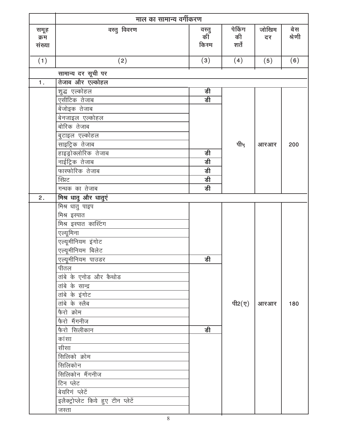|                | माल का सामान्य वर्गीकरण             |             |                |       |        |
|----------------|-------------------------------------|-------------|----------------|-------|--------|
| समूह           | वस्तु विवरण                         | वस्तु<br>की | पेकिंग         | जोखिम | बेस    |
| क्रम           |                                     |             | की             | दर    | श्रेणी |
| संख्या         |                                     | किस्म       | शर्तें         |       |        |
| (1)            | (2)                                 | (3)         | (4)            | (5)   | (6)    |
|                | सामान्य दर सूची पर                  |             |                |       |        |
| 1 <sub>1</sub> | तेजाब और एल्कोहल                    |             |                |       |        |
|                | शुद्ध एल्कोहल                       | डी          |                |       |        |
|                | एसीटिक तेजाब                        | डी          |                |       |        |
|                | बेंजोइक तेजाब                       |             |                |       |        |
|                | बेनजाइल एल्कोहल                     |             |                |       |        |
|                | बोरिक तेजाब                         |             |                |       |        |
|                | बुटाइल एल्कोहल                      |             |                |       |        |
|                | साइट्रिक तेजाब                      |             | पी५            | आरआर  | 200    |
|                | हाइड्रोक्लोरिक तेजाब                | डी          |                |       |        |
|                | नाईट्रिक तेजाब                      | डी          |                |       |        |
|                | फास्फोरिक तेजाब                     | डी          |                |       |        |
|                | स्प्रिट                             | डी          |                |       |        |
|                | गन्धक का तेजाब                      | डी          |                |       |        |
| 2.             | मिश्र धातु और धातुएं                |             |                |       |        |
|                | मिश्र धातु पाइप                     |             |                |       |        |
|                | मिश्र इस्पात                        |             |                |       |        |
|                | मिश्र इस्पात कास्टिंग               |             |                |       |        |
|                | एल्यूमिना                           |             |                |       |        |
|                | एल्यूमीनियम इंगोट                   |             |                |       |        |
|                | एल्यूमीनियम बिलेट                   |             |                |       |        |
|                | <u>एल्यूमीनियम पाउडर</u>            | डी          |                |       |        |
|                | पीतल                                |             |                |       |        |
|                | तांबे के एनोड और कैथोड              |             |                |       |        |
|                | तांबे के सान्द्र                    |             |                |       |        |
|                | तांबे के इंगोट                      |             |                |       |        |
|                | तांबे के स्लैब                      |             | पी2 $(\nabla)$ | आरआर  | 180    |
|                | फैरो क्रोम                          |             |                |       |        |
|                | फैरो मैंगनीज                        |             |                |       |        |
|                | फैरो सिलीकान                        | डी          |                |       |        |
|                | कांसा                               |             |                |       |        |
|                | सीसा                                |             |                |       |        |
|                | सिलिको क्रोम                        |             |                |       |        |
|                | सिलिकोन                             |             |                |       |        |
|                | सिलिकोन मैंगनीज                     |             |                |       |        |
|                | टिन प्लेट                           |             |                |       |        |
|                | बेयरिगं प्लेटें                     |             |                |       |        |
|                | इलैक्ट्रोप्लेट किये हुए टीन प्लेटें |             |                |       |        |
|                | जस्ता                               |             |                |       |        |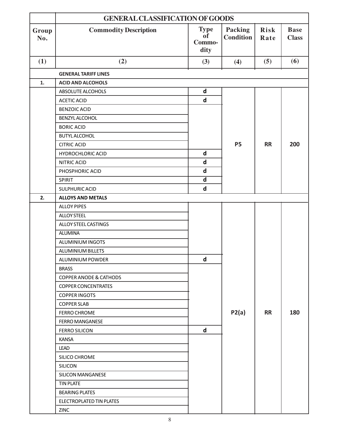|              | <b>GENERAL CLASSIFICATION OF GOODS</b> |                                            |                                    |                     |                             |  |
|--------------|----------------------------------------|--------------------------------------------|------------------------------------|---------------------|-----------------------------|--|
| Group<br>No. | <b>Commodity Description</b>           | <b>Type</b><br><b>of</b><br>Commo-<br>dity | <b>Packing</b><br><b>Condition</b> | <b>Risk</b><br>Rate | <b>Base</b><br><b>Class</b> |  |
| (1)          | (2)                                    | (3)                                        | (4)                                | (5)                 | (6)                         |  |
|              | <b>GENERAL TARIFF LINES</b>            |                                            |                                    |                     |                             |  |
| 1.           | <b>ACID AND ALCOHOLS</b>               |                                            |                                    |                     |                             |  |
|              | ABSOLUTE ALCOHOLS                      | $\mathsf{d}$                               |                                    |                     |                             |  |
|              | <b>ACETIC ACID</b>                     | $\mathbf d$                                |                                    |                     |                             |  |
|              | <b>BENZOIC ACID</b>                    |                                            |                                    |                     |                             |  |
|              | BENZYL ALCOHOL                         |                                            |                                    |                     |                             |  |
|              | <b>BORIC ACID</b>                      |                                            |                                    |                     |                             |  |
|              | <b>BUTYL ALCOHOL</b>                   |                                            |                                    |                     |                             |  |
|              | <b>CITRIC ACID</b>                     |                                            | <b>P5</b>                          | <b>RR</b>           | 200                         |  |
|              | <b>HYDROCHLORIC ACID</b>               | $\mathsf{d}$                               |                                    |                     |                             |  |
|              | NITRIC ACID                            | $\mathsf{d}$                               |                                    |                     |                             |  |
|              | PHOSPHORIC ACID                        | $\mathbf d$                                |                                    |                     |                             |  |
|              | SPIRIT                                 | $\overline{d}$                             |                                    |                     |                             |  |
|              | SULPHURIC ACID                         | $\mathsf{d}$                               |                                    |                     |                             |  |
| 2.           | <b>ALLOYS AND METALS</b>               |                                            |                                    |                     |                             |  |
|              | <b>ALLOY PIPES</b>                     |                                            |                                    |                     |                             |  |
|              | <b>ALLOY STEEL</b>                     |                                            |                                    |                     |                             |  |
|              | ALLOY STEEL CASTINGS                   |                                            |                                    |                     |                             |  |
|              | <b>ALUMINA</b>                         |                                            |                                    |                     |                             |  |
|              | ALUMINIUM INGOTS                       |                                            |                                    |                     |                             |  |
|              | ALUMINIUM BILLETS                      |                                            |                                    |                     |                             |  |
|              | ALUMINIUM POWDER                       | $\operatorname{\mathsf{d}}$                |                                    |                     |                             |  |
|              | <b>BRASS</b>                           |                                            |                                    |                     |                             |  |
|              | <b>COPPER ANODE &amp; CATHODS</b>      |                                            |                                    |                     |                             |  |
|              | <b>COPPER CONCENTRATES</b>             |                                            |                                    |                     |                             |  |
|              | <b>COPPER INGOTS</b>                   |                                            |                                    |                     |                             |  |
|              | <b>COPPER SLAB</b>                     |                                            |                                    |                     |                             |  |
|              | FERRO CHROME                           |                                            | P2(a)                              | <b>RR</b>           | 180                         |  |
|              | <b>FERRO MANGANESE</b>                 |                                            |                                    |                     |                             |  |
|              | <b>FERRO SILICON</b>                   | $\mathsf{d}$                               |                                    |                     |                             |  |
|              | <b>KANSA</b>                           |                                            |                                    |                     |                             |  |
|              | <b>LEAD</b>                            |                                            |                                    |                     |                             |  |
|              | SILICO CHROME                          |                                            |                                    |                     |                             |  |
|              | <b>SILICON</b>                         |                                            |                                    |                     |                             |  |
|              | <b>SILICON MANGANESE</b>               |                                            |                                    |                     |                             |  |
|              | <b>TIN PLATE</b>                       |                                            |                                    |                     |                             |  |
|              | <b>BEARING PLATES</b>                  |                                            |                                    |                     |                             |  |
|              | ELECTROPLATED TIN PLATES               |                                            |                                    |                     |                             |  |
|              | ZINC                                   |                                            |                                    |                     |                             |  |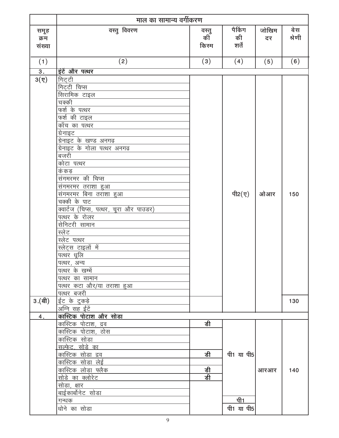|                        | माल का सामान्य वर्गीकरण                                                                                                                                                                                                                                                                                                                                                                                                                                                                                                                                                     |                      |                        |             |               |
|------------------------|-----------------------------------------------------------------------------------------------------------------------------------------------------------------------------------------------------------------------------------------------------------------------------------------------------------------------------------------------------------------------------------------------------------------------------------------------------------------------------------------------------------------------------------------------------------------------------|----------------------|------------------------|-------------|---------------|
| समूह<br>क्रम<br>संख्या | वस्तु विवरण                                                                                                                                                                                                                                                                                                                                                                                                                                                                                                                                                                 | वस्तु<br>की<br>किरम  | पैकिंग<br>की<br>शर्तें | जोखिम<br>दर | बेस<br>श्रेणी |
| (1)                    | (2)                                                                                                                                                                                                                                                                                                                                                                                                                                                                                                                                                                         | (3)                  | (4)                    | (5)         | (6)           |
| $\overline{3}$ .       | इंटें और पत्थर                                                                                                                                                                                                                                                                                                                                                                                                                                                                                                                                                              |                      |                        |             |               |
| $3(\nabla)$            | गिट्टी<br>गिटटी चिप्स<br><u>सिरामिक टाइल</u><br>चक्की<br>फर्श के पत्थर<br>फर्श की टाइल<br>काँच का पत्थर<br>ग्रेनाइट<br>ग्रेनाइट के खण्ड अनगढ़<br>ग्रेनाइट के गोला पत्थर अनगढ़<br>बजरी<br>कोटा पत्थर<br>कं कड़<br>संगमरमर की चिप्स<br><u>संगमरमर तराशा हुआ</u><br><u>संगमरमर बिना तराशा हुआ</u><br>चक्की के पाट<br>क्वार्टज (चिप्स, पत्थर, चूरा और पाउडर)<br>पत्थर के रोलर<br>सेनिटरी सामान<br>स्लेट<br>स्लेट पत्थर<br><u>स्लेट्स टाइलों में</u><br>पत्थरं धूलि<br>पत्थर, अन्य<br>पत्थर के खम्भें<br>पत्थर का सामान<br><u>पत्थर कटा और/या तराशा हुआ</u><br><u>पत्थर बजरी</u> |                      | पी2 $(y)$              | ओआर         | 150           |
| 3.(a)                  | ईट के टुकड़े<br>अग्नि सह ईंटें                                                                                                                                                                                                                                                                                                                                                                                                                                                                                                                                              |                      |                        |             | 130           |
| 4.                     | <u>कास्टिक पोटाश और सोडा</u>                                                                                                                                                                                                                                                                                                                                                                                                                                                                                                                                                |                      |                        |             |               |
|                        | <u>कास्टिक पोटाश, द्रव</u><br>कास्टिक पोटाश, ठोस<br>कास्टिक सोडा<br><u>सल्फेट, सोडे का</u><br><u>कास्टिक सोडा द्रव</u><br><u>कास्टिक सोडा लेई</u><br>कास्टिक लोडा फ्लैक<br>सोडे का क्लोरेट<br>सोडा, क्षार<br>बाईकार्बोनेट सोडा<br><u>गन्धक</u>                                                                                                                                                                                                                                                                                                                              | डी<br>डी<br>डी<br>डी | पी1 या पी5<br>पी1      | आरआर        | 140           |
|                        | धोने का सोडा                                                                                                                                                                                                                                                                                                                                                                                                                                                                                                                                                                |                      | पी1 या पी5             |             |               |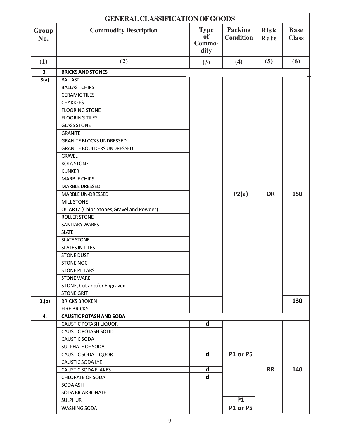|              | <b>GENERAL CLASSIFICATION OF GOODS</b>    |                                     |                                    |              |                             |
|--------------|-------------------------------------------|-------------------------------------|------------------------------------|--------------|-----------------------------|
| Group<br>No. | <b>Commodity Description</b>              | <b>Type</b><br>of<br>Commo-<br>dity | <b>Packing</b><br><b>Condition</b> | Risk<br>Rate | <b>Base</b><br><b>Class</b> |
| (1)          | (2)                                       | (3)                                 | (4)                                | (5)          | (6)                         |
| 3.           | <b>BRICKS AND STONES</b>                  |                                     |                                    |              |                             |
| 3(a)         | <b>BALLAST</b>                            |                                     |                                    |              |                             |
|              | <b>BALLAST CHIPS</b>                      |                                     |                                    |              |                             |
|              | <b>CERAMIC TILES</b>                      |                                     |                                    |              |                             |
|              | <b>CHAKKEES</b>                           |                                     |                                    |              |                             |
|              | <b>FLOORING STONE</b>                     |                                     |                                    |              |                             |
|              | <b>FLOORING TILES</b>                     |                                     |                                    |              |                             |
|              | <b>GLASS STONE</b>                        |                                     |                                    |              |                             |
|              | <b>GRANITE</b>                            |                                     |                                    |              |                             |
|              | <b>GRANITE BLOCKS UNDRESSED</b>           |                                     |                                    |              |                             |
|              | <b>GRANITE BOULDERS UNDRESSED</b>         |                                     |                                    |              |                             |
|              | <b>GRAVEL</b>                             |                                     |                                    |              |                             |
|              | <b>KOTA STONE</b>                         |                                     |                                    |              |                             |
|              | <b>KUNKER</b>                             |                                     |                                    |              |                             |
|              | <b>MARBLE CHIPS</b>                       |                                     |                                    |              |                             |
|              | <b>MARBLE DRESSED</b>                     |                                     |                                    |              |                             |
|              | <b>MARBLE UN-DRESSED</b>                  |                                     | P2(a)                              | <b>OR</b>    | 150                         |
|              | <b>MILL STONE</b>                         |                                     |                                    |              |                             |
|              | QUARTZ (Chips, Stones, Gravel and Powder) |                                     |                                    |              |                             |
|              | <b>ROLLER STONE</b>                       |                                     |                                    |              |                             |
|              | <b>SANITARY WARES</b>                     |                                     |                                    |              |                             |
|              | <b>SLATE</b>                              |                                     |                                    |              |                             |
|              | <b>SLATE STONE</b>                        |                                     |                                    |              |                             |
|              | <b>SLATES IN TILES</b>                    |                                     |                                    |              |                             |
|              | <b>STONE DUST</b>                         |                                     |                                    |              |                             |
|              | <b>STONE NOC</b>                          |                                     |                                    |              |                             |
|              | <b>STONE PILLARS</b>                      |                                     |                                    |              |                             |
|              | <b>STONE WARE</b>                         |                                     |                                    |              |                             |
|              | STONE, Cut and/or Engraved                |                                     |                                    |              |                             |
|              | <b>STONE GRIT</b>                         |                                     |                                    |              |                             |
| 3.(b)        | <b>BRICKS BROKEN</b>                      |                                     |                                    |              | 130                         |
|              | <b>FIRE BRICKS</b>                        |                                     |                                    |              |                             |
| 4.           | <b>CAUSTIC POTASH AND SODA</b>            |                                     |                                    |              |                             |
|              | CAUSTIC POTASH LIQUOR                     | $\mathbf d$                         |                                    |              |                             |
|              | <b>CAUSTIC POTASH SOLID</b>               |                                     |                                    |              |                             |
|              | <b>CAUSTIC SODA</b>                       |                                     |                                    |              |                             |
|              | SULPHATE OF SODA                          |                                     |                                    |              |                             |
|              | CAUSTIC SODA LIQUOR                       | $\mathbf d$                         | P1 or P5                           |              |                             |
|              | CAUSTIC SODA LYE                          |                                     |                                    |              |                             |
|              | <b>CAUSTIC SODA FLAKES</b>                | $\overline{\mathsf{d}}$             |                                    | <b>RR</b>    | 140                         |
|              | <b>CHLORATE OF SODA</b>                   | $\mathbf d$                         |                                    |              |                             |
|              | SODA ASH                                  |                                     |                                    |              |                             |
|              | <b>SODA BICARBONATE</b>                   |                                     |                                    |              |                             |
|              | <b>SULPHUR</b>                            |                                     | <b>P1</b>                          |              |                             |
|              | WASHING SODA                              |                                     | P1 or P5                           |              |                             |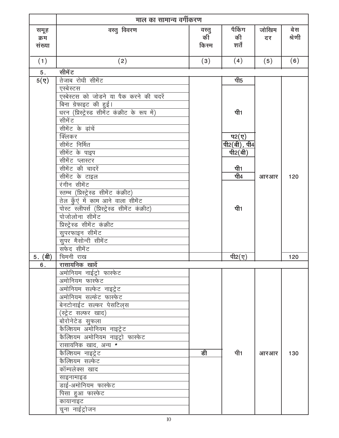|                        | माल का सामान्य वर्गीकरण                           |                      |                                                                                           |             |               |  |
|------------------------|---------------------------------------------------|----------------------|-------------------------------------------------------------------------------------------|-------------|---------------|--|
| समूह<br>क्रम<br>संख्या | वस्तु विवरण                                       | वस्तु<br>कीँ<br>किरम | पैकिंग<br>की<br>शर्तें                                                                    | जोखिम<br>दर | बेस<br>श्रेणी |  |
| (1)                    | (2)                                               | (3)                  | (4)                                                                                       | (5)         | (6)           |  |
| 5.                     | सीमें ट                                           |                      |                                                                                           |             |               |  |
| $5(\nabla)$            | तेजाब रोधी सीमेंट                                 |                      | पी5                                                                                       |             |               |  |
|                        | एस्बेस्टस                                         |                      |                                                                                           |             |               |  |
|                        | एस्बेस्टस को जोड़ने या पैक करने की चदरें          |                      |                                                                                           |             |               |  |
|                        | बिना ग्रेफाइट की हुई।                             |                      |                                                                                           |             |               |  |
|                        | धरन (प्रिस्ट्रेस्ड सीमेंट कंक्रीट के रूप में)     |                      | पी1                                                                                       |             |               |  |
|                        | सीमें ट                                           |                      |                                                                                           |             |               |  |
|                        | सीमेंट के ढ़ांचें<br>क्लिंकर                      |                      |                                                                                           |             |               |  |
|                        | सीमेंट निर्मित                                    |                      | प $2(\bar{y})$<br>$\overline{\mathfrak{q}_2(\mathfrak{q})}$ , $\overline{\mathfrak{q}_4}$ |             |               |  |
|                        | सीमेंट के पाइप                                    |                      | पी2 $(d)$                                                                                 |             |               |  |
|                        | सीमेंट प्लास्टर                                   |                      |                                                                                           |             |               |  |
|                        | सीमेंट की चादरें                                  |                      | पी1                                                                                       |             |               |  |
|                        | सीमेंट के टाइल                                    |                      | पी4                                                                                       | आरआर        | 120           |  |
|                        | रंगीन सीमेंट                                      |                      |                                                                                           |             |               |  |
|                        | स्तम्भ (प्रिस्ट्रेस्ड सीमेंट कंक्रीट)             |                      |                                                                                           |             |               |  |
|                        | तेल कुँएं में काम आने वाला सीमेंट                 |                      |                                                                                           |             |               |  |
|                        | पोस्ट स्लीपर्स (प्रिस्ट्रेस्ड सीमेंट कंक्रीट)     |                      | पी1                                                                                       |             |               |  |
|                        | पोजोलोना सीमेंट                                   |                      |                                                                                           |             |               |  |
|                        | प्रिस्ट्रेस्ड सीमेंट कंक्रीट                      |                      |                                                                                           |             |               |  |
|                        | सुपरफाइन सीमेंट                                   |                      |                                                                                           |             |               |  |
|                        | सुपर मैसोन्री सीमेंट                              |                      |                                                                                           |             |               |  |
|                        | सफेद सीमेंट                                       |                      |                                                                                           |             |               |  |
| 5. (बी)                | चिमनी राख                                         |                      | पी2 $(y)$                                                                                 |             | 120           |  |
| 6.                     | <u>रासायनिक खादें</u>                             |                      |                                                                                           |             |               |  |
|                        | अमोनियम नाईट्रो फास्फेट                           |                      |                                                                                           |             |               |  |
|                        | अमोनियम फास्फेट                                   |                      |                                                                                           |             |               |  |
|                        | अमोनियम सल्फेट नाइट्रेट<br>अमोनियम सल्फेट फास्फेट |                      |                                                                                           |             |               |  |
|                        | बेनटोनाईट सल्फर पेसटिल्स                          |                      |                                                                                           |             |               |  |
|                        | (स्ट्रेट सल्फर खाद)                               |                      |                                                                                           |             |               |  |
|                        | बोरोनेटेड सुफला                                   |                      |                                                                                           |             |               |  |
|                        | कैल्शियम अमोनियम नाइट्रेट                         |                      |                                                                                           |             |               |  |
|                        | कैल्शियम अमोनियम नाइट्रो फास्फेट                  |                      |                                                                                           |             |               |  |
|                        | रासायनिक खाद, अन्य *                              |                      |                                                                                           |             |               |  |
|                        | कैल्शियम नाइट्रेट                                 | डी                   | पी1                                                                                       | आरआर        | 130           |  |
|                        | कैल्शियम सल्फेट                                   |                      |                                                                                           |             |               |  |
|                        | कॉम्पलेक्स खाद                                    |                      |                                                                                           |             |               |  |
|                        | साइनामाइड                                         |                      |                                                                                           |             |               |  |
|                        | डाई-अमोनियम फास्फेट                               |                      |                                                                                           |             |               |  |
|                        | पिसा हुआ फास्फेट                                  |                      |                                                                                           |             |               |  |
|                        | कायानाइट                                          |                      |                                                                                           |             |               |  |
|                        | चूना नाईट्रोजन                                    |                      |                                                                                           |             |               |  |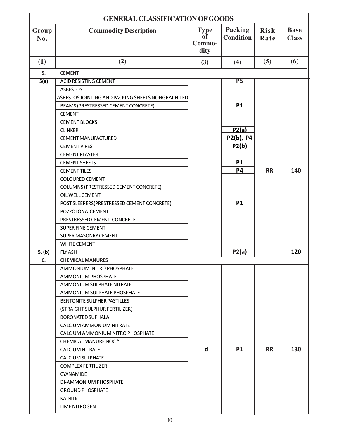|              | <b>GENERAL CLASSIFICATION OF GOODS</b>            |                                            |                             |                     |                             |  |
|--------------|---------------------------------------------------|--------------------------------------------|-----------------------------|---------------------|-----------------------------|--|
| Group<br>No. | <b>Commodity Description</b>                      | <b>Type</b><br><b>of</b><br>Commo-<br>dity | Packing<br><b>Condition</b> | <b>Risk</b><br>Rate | <b>Base</b><br><b>Class</b> |  |
| (1)          | (2)                                               | (3)                                        | (4)                         | (5)                 | (6)                         |  |
| 5.           | <b>CEMENT</b>                                     |                                            |                             |                     |                             |  |
| 5(a)         | <b>ACID RESISTING CEMENT</b>                      |                                            | P <sub>5</sub>              |                     |                             |  |
|              | <b>ASBESTOS</b>                                   |                                            |                             |                     |                             |  |
|              | ASBESTOS JOINTING AND PACKING SHEETS NONGRAPHITED |                                            |                             |                     |                             |  |
|              | BEAMS (PRESTRESSED CEMENT CONCRETE)               |                                            | <b>P1</b>                   |                     |                             |  |
|              | <b>CEMENT</b>                                     |                                            |                             |                     |                             |  |
|              | <b>CEMENT BLOCKS</b>                              |                                            |                             |                     |                             |  |
|              | <b>CLINKER</b>                                    |                                            | P2(a)                       |                     |                             |  |
|              | CEMENT MANUFACTURED                               |                                            | P2(b), P4                   |                     |                             |  |
|              | <b>CEMENT PIPES</b>                               |                                            | P2(b)                       |                     |                             |  |
|              | <b>CEMENT PLASTER</b>                             |                                            |                             |                     |                             |  |
|              | <b>CEMENT SHEETS</b>                              |                                            | <b>P1</b>                   |                     |                             |  |
|              | <b>CEMENT TILES</b>                               |                                            | <b>P4</b>                   | <b>RR</b>           | 140                         |  |
|              | <b>COLOURED CEMENT</b>                            |                                            |                             |                     |                             |  |
|              | COLUMNS (PRESTRESSED CEMENT CONCRETE)             |                                            |                             |                     |                             |  |
|              | OIL WELL CEMENT                                   |                                            |                             |                     |                             |  |
|              | POST SLEEPERS(PRESTRESSED CEMENT CONCRETE)        |                                            | <b>P1</b>                   |                     |                             |  |
|              | POZZOLONA CEMENT                                  |                                            |                             |                     |                             |  |
|              | PRESTRESSED CEMENT CONCRETE                       |                                            |                             |                     |                             |  |
|              | <b>SUPER FINE CEMENT</b>                          |                                            |                             |                     |                             |  |
|              | <b>SUPER MASONRY CEMENT</b>                       |                                            |                             |                     |                             |  |
|              | <b>WHITE CEMENT</b>                               |                                            |                             |                     |                             |  |
| 5. (b)       | <b>FLY ASH</b>                                    |                                            | P2(a)                       |                     | 120                         |  |
| 6.           | <b>CHEMICAL MANURES</b>                           |                                            |                             |                     |                             |  |
|              | AMMONIUM NITRO PHOSPHATE                          |                                            |                             |                     |                             |  |
|              | AMMONIUM PHOSPHATE                                |                                            |                             |                     |                             |  |
|              | AMMONIUM SULPHATE NITRATE                         |                                            |                             |                     |                             |  |
|              | AMMONIUM SULPHATE PHOSPHATE                       |                                            |                             |                     |                             |  |
|              | BENTONITE SULPHER PASTILLES                       |                                            |                             |                     |                             |  |
|              | (STRAIGHT SULPHUR FERTILIZER)                     |                                            |                             |                     |                             |  |
|              | <b>BORONATED SUPHALA</b>                          |                                            |                             |                     |                             |  |
|              | CALCIUM AMMONIUM NITRATE                          |                                            |                             |                     |                             |  |
|              | CALCIUM AMMONIUM NITRO PHOSPHATE                  |                                            |                             |                     |                             |  |
|              | CHEMICAL MANURE NOC*                              |                                            |                             |                     |                             |  |
|              | <b>CALCIUM NITRATE</b>                            | $\mathbf d$                                | <b>P1</b>                   | <b>RR</b>           | 130                         |  |
|              | <b>CALCIUM SULPHATE</b>                           |                                            |                             |                     |                             |  |
|              | <b>COMPLEX FERTILIZER</b>                         |                                            |                             |                     |                             |  |
|              | CYANAMIDE                                         |                                            |                             |                     |                             |  |
|              | DI-AMMONIUM PHOSPHATE                             |                                            |                             |                     |                             |  |
|              | <b>GROUND PHOSPHATE</b>                           |                                            |                             |                     |                             |  |
|              | <b>KAINITE</b>                                    |                                            |                             |                     |                             |  |
|              | <b>LIME NITROGEN</b>                              |                                            |                             |                     |                             |  |
|              |                                                   |                                            |                             |                     |                             |  |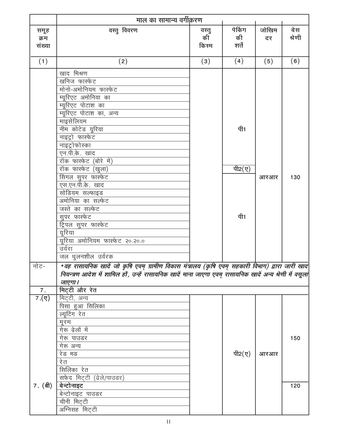|                               | माल का सामान्य वर्गीकरण                                                                                                                                                                                                                                                                                                                                                                                                                                                                 |                      |                               |             |               |
|-------------------------------|-----------------------------------------------------------------------------------------------------------------------------------------------------------------------------------------------------------------------------------------------------------------------------------------------------------------------------------------------------------------------------------------------------------------------------------------------------------------------------------------|----------------------|-------------------------------|-------------|---------------|
| समूह<br>क्रम<br>संख्या        | वस्तु विवरण                                                                                                                                                                                                                                                                                                                                                                                                                                                                             | वस्तु<br>कीँ<br>किरम | पेकिंग<br>की<br>शर्तें        | जोखिम<br>दर | बेस<br>श्रेणी |
| (1)                           | (2)                                                                                                                                                                                                                                                                                                                                                                                                                                                                                     | (3)                  | (4)                           | (5)         | (6)           |
|                               | खाद मिश्रण<br>खनिज फार्स्फेट<br>मोनो-अमोनियम फास्फेट<br>म्यूरिएट अमोनिया का<br>म्यूरिएट पोटाश का<br>म्यूरिएट पोटाश का, अन्य<br>माइसेलियम<br>नीम कोटेड यूरिया<br>नाइट्रो फास्फेट<br>नाइट्रोफोस्का<br>एन.पी.के. खाद<br>रॉक फास्फेट (बोरे में)<br>रॉक फास्फेट (खुला)<br>सिंगल सुपर फास्फेट<br>एस.एन.पी.के. खाद<br>सोडियम सल्फाइड<br>अमोनिया का सल्फेट<br>जस्ते का सल्फेट<br>सुपर फास्फेट<br>ट्रिपल सुपर फास्फेट<br>यूरिया<br>यूरिया अमोनियम फास्फेट २०.२०.०<br>उर्वरा<br>जल धुलनशील उर्वरक |                      | पी1<br>पी2 $(\bar{q})$<br>पी1 | आरआर        | 130           |
| नोट-                          | *वह रासायनिक खादें जो कृषि एवम् ग्रामीण विकास मंत्रालय (कृषि एवम् सहकारी विभाग) द्वारा जारी खाद<br>नियन्त्रण आदेश में शामिल हों , उन्हें रासायनिक खादें माना जाएगा एवम् रासायनिक खादें अन्य श्रेणी में वसूला                                                                                                                                                                                                                                                                            |                      |                               |             |               |
| 7.                            | जाएगा ।<br>मिट्टी और रेत                                                                                                                                                                                                                                                                                                                                                                                                                                                                |                      |                               |             |               |
| $7.(\overline{y})$<br>7. (बी) | मिट्टी, अन्य<br>पिसा हुआ सिलिका<br>ल्यूटिंग रेत<br>मूरम<br>गेरू ढ़ेलों में<br>गेरू पाउडर<br>गेरू अन्य<br>रेड मड<br>रे त<br>सिलिका रेत<br>सफेद मिट्टी (ढेले/पाउडर)<br>बेन्टोनाइट<br>बेन्टोनाइट पाउडर<br>चीनी मिट्टी<br>अग्निसह मिट्टी                                                                                                                                                                                                                                                    |                      | पी2 $(\nabla)$                | आरआर        | 150<br>120    |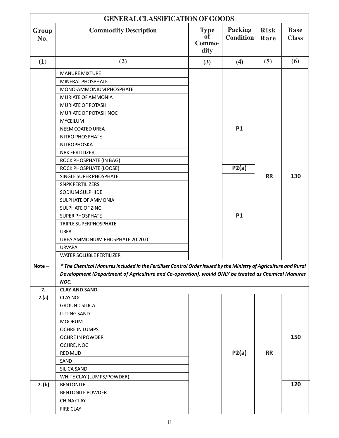|                  | <b>GENERAL CLASSIFICATION OF GOODS</b>                                                                                                                                                                                         |                                     |                             |                     |                             |
|------------------|--------------------------------------------------------------------------------------------------------------------------------------------------------------------------------------------------------------------------------|-------------------------------------|-----------------------------|---------------------|-----------------------------|
| Group<br>No.     | <b>Commodity Description</b>                                                                                                                                                                                                   | <b>Type</b><br>of<br>Commo-<br>dity | Packing<br><b>Condition</b> | <b>Risk</b><br>Rate | <b>Base</b><br><b>Class</b> |
| (1)              | (2)                                                                                                                                                                                                                            | (3)                                 | (4)                         | (5)                 | (6)                         |
|                  | <b>MANURE MIXTURE</b>                                                                                                                                                                                                          |                                     |                             |                     |                             |
|                  | MINERAL PHOSPHATE                                                                                                                                                                                                              |                                     |                             |                     |                             |
|                  | MONO-AMMONIUM PHOSPHATE                                                                                                                                                                                                        |                                     |                             |                     |                             |
|                  | <b>MURIATE OF AMMONIA</b>                                                                                                                                                                                                      |                                     |                             |                     |                             |
|                  | MURIATE OF POTASH                                                                                                                                                                                                              |                                     |                             |                     |                             |
|                  | MURIATE OF POTASH NOC                                                                                                                                                                                                          |                                     |                             |                     |                             |
|                  | <b>MYCEILUM</b>                                                                                                                                                                                                                |                                     |                             |                     |                             |
|                  | NEEM COATED UREA                                                                                                                                                                                                               |                                     | <b>P1</b>                   |                     |                             |
|                  | NITRO PHOSPHATE                                                                                                                                                                                                                |                                     |                             |                     |                             |
|                  | NITROPHOSKA                                                                                                                                                                                                                    |                                     |                             |                     |                             |
|                  | <b>NPK FERTILIZER</b>                                                                                                                                                                                                          |                                     |                             |                     |                             |
|                  | ROCK PHOSPHATE (IN BAG)                                                                                                                                                                                                        |                                     |                             |                     |                             |
|                  | ROCK PHOSPHATE (LOOSE)                                                                                                                                                                                                         |                                     | P2(a)                       |                     |                             |
|                  | SINGLE SUPER PHOSPHATE                                                                                                                                                                                                         |                                     |                             | <b>RR</b>           | 130                         |
|                  | <b>SNPK FERTILIZERS</b>                                                                                                                                                                                                        |                                     |                             |                     |                             |
|                  | SODIUM SULPHIDE                                                                                                                                                                                                                |                                     |                             |                     |                             |
|                  | SULPHATE OF AMMONIA                                                                                                                                                                                                            |                                     |                             |                     |                             |
|                  | SULPHATE OF ZINC                                                                                                                                                                                                               |                                     |                             |                     |                             |
|                  | <b>SUPER PHOSPHATE</b>                                                                                                                                                                                                         |                                     | <b>P1</b>                   |                     |                             |
|                  | <b>TRIPLE SUPERPHOSPHATE</b>                                                                                                                                                                                                   |                                     |                             |                     |                             |
|                  | <b>UREA</b>                                                                                                                                                                                                                    |                                     |                             |                     |                             |
|                  | UREA AMMONIUM PHOSPHATE 20.20.0                                                                                                                                                                                                |                                     |                             |                     |                             |
|                  | <b>URVARA</b>                                                                                                                                                                                                                  |                                     |                             |                     |                             |
|                  | <b>WATER SOLUBLE FERTILIZER</b>                                                                                                                                                                                                |                                     |                             |                     |                             |
| $Note -$         | * The Chemical Manures included in the Fertiliser Control Order issued by the Ministry of Agriculture and Rural<br>Development (Department of Agriculture and Co-operation), would ONLY be treated as Chemical Manures<br>NOC. |                                     |                             |                     |                             |
| $\overline{7}$ . | <b>CLAY AND SAND</b>                                                                                                                                                                                                           |                                     |                             |                     |                             |
| 7.(a)            | <b>CLAY NOC</b>                                                                                                                                                                                                                |                                     |                             |                     |                             |
|                  | <b>GROUND SILICA</b>                                                                                                                                                                                                           |                                     |                             |                     |                             |
|                  | <b>LUTING SAND</b>                                                                                                                                                                                                             |                                     |                             |                     |                             |
|                  | <b>MOORUM</b>                                                                                                                                                                                                                  |                                     |                             |                     |                             |
|                  | <b>OCHRE IN LUMPS</b>                                                                                                                                                                                                          |                                     |                             |                     |                             |
|                  | <b>OCHRE IN POWDER</b>                                                                                                                                                                                                         |                                     |                             |                     | 150                         |
|                  | OCHRE, NOC                                                                                                                                                                                                                     |                                     |                             |                     |                             |
|                  | <b>RED MUD</b>                                                                                                                                                                                                                 |                                     | P2(a)                       | <b>RR</b>           |                             |
|                  | SAND                                                                                                                                                                                                                           |                                     |                             |                     |                             |
|                  | SILICA SAND                                                                                                                                                                                                                    |                                     |                             |                     |                             |
|                  | WHITE CLAY (LUMPS/POWDER)                                                                                                                                                                                                      |                                     |                             |                     |                             |
| 7. (b)           | <b>BENTONITE</b>                                                                                                                                                                                                               |                                     |                             |                     | 120                         |
|                  | <b>BENTONITE POWDER</b>                                                                                                                                                                                                        |                                     |                             |                     |                             |
|                  | <b>CHINA CLAY</b>                                                                                                                                                                                                              |                                     |                             |                     |                             |
|                  | <b>FIRE CLAY</b>                                                                                                                                                                                                               |                                     |                             |                     |                             |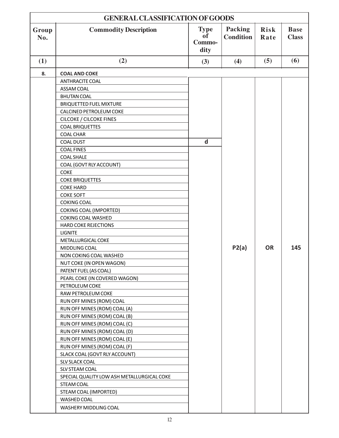|              | <b>GENERAL CLASSIFICATION OF GOODS</b>     |                                     |                                    |                     |                             |  |
|--------------|--------------------------------------------|-------------------------------------|------------------------------------|---------------------|-----------------------------|--|
| Group<br>No. | <b>Commodity Description</b>               | <b>Type</b><br>оf<br>Commo-<br>dity | <b>Packing</b><br><b>Condition</b> | <b>Risk</b><br>Rate | <b>Base</b><br><b>Class</b> |  |
| (1)          | (2)                                        | (3)                                 | (4)                                | (5)                 | (6)                         |  |
| 8.           | <b>COAL AND COKE</b>                       |                                     |                                    |                     |                             |  |
|              | <b>ANTHRACITE COAL</b>                     |                                     |                                    |                     |                             |  |
|              | ASSAM COAL                                 |                                     |                                    |                     |                             |  |
|              | <b>BHUTAN COAL</b>                         |                                     |                                    |                     |                             |  |
|              | <b>BRIQUETTED FUEL MIXTURE</b>             |                                     |                                    |                     |                             |  |
|              | <b>CALCINED PETROLEUM COKE</b>             |                                     |                                    |                     |                             |  |
|              | <b>CILCOKE / CILCOKE FINES</b>             |                                     |                                    |                     |                             |  |
|              | <b>COAL BRIQUETTES</b>                     |                                     |                                    |                     |                             |  |
|              | <b>COAL CHAR</b>                           |                                     |                                    |                     |                             |  |
|              | <b>COAL DUST</b>                           | $\mathsf{d}$                        |                                    |                     |                             |  |
|              | <b>COAL FINES</b>                          |                                     |                                    |                     |                             |  |
|              | <b>COAL SHALE</b>                          |                                     |                                    |                     |                             |  |
|              | COAL (GOVT RLY ACCOUNT)                    |                                     |                                    |                     |                             |  |
|              | <b>COKE</b>                                |                                     |                                    |                     |                             |  |
|              | <b>COKE BRIQUETTES</b>                     |                                     |                                    |                     |                             |  |
|              | <b>COKE HARD</b>                           |                                     |                                    |                     |                             |  |
|              | <b>COKE SOFT</b>                           |                                     |                                    |                     |                             |  |
|              | <b>COKING COAL</b>                         |                                     |                                    |                     |                             |  |
|              | <b>COKING COAL (IMPORTED)</b>              |                                     |                                    |                     |                             |  |
|              | <b>COKING COAL WASHED</b>                  |                                     |                                    |                     |                             |  |
|              | <b>HARD COKE REJECTIONS</b>                |                                     |                                    |                     |                             |  |
|              | <b>LIGNITE</b>                             |                                     |                                    |                     |                             |  |
|              | METALLURGICAL COKE                         |                                     |                                    |                     |                             |  |
|              | MIDDLING COAL                              |                                     | P2(a)                              | <b>OR</b>           | 145                         |  |
|              | NON COKING COAL WASHED                     |                                     |                                    |                     |                             |  |
|              | NUT COKE (IN OPEN WAGON)                   |                                     |                                    |                     |                             |  |
|              | PATENT FUEL (AS COAL)                      |                                     |                                    |                     |                             |  |
|              | PEARL COKE (IN COVERED WAGON)              |                                     |                                    |                     |                             |  |
|              | PETROLEUM COKE                             |                                     |                                    |                     |                             |  |
|              | RAW PETROLEUM COKE                         |                                     |                                    |                     |                             |  |
|              | RUN OFF MINES (ROM) COAL                   |                                     |                                    |                     |                             |  |
|              | RUN OFF MINES (ROM) COAL (A)               |                                     |                                    |                     |                             |  |
|              | RUN OFF MINES (ROM) COAL (B)               |                                     |                                    |                     |                             |  |
|              | RUN OFF MINES (ROM) COAL (C)               |                                     |                                    |                     |                             |  |
|              | RUN OFF MINES (ROM) COAL (D)               |                                     |                                    |                     |                             |  |
|              | RUN OFF MINES (ROM) COAL (E)               |                                     |                                    |                     |                             |  |
|              | RUN OFF MINES (ROM) COAL (F)               |                                     |                                    |                     |                             |  |
|              | SLACK COAL (GOVT RLY ACCOUNT)              |                                     |                                    |                     |                             |  |
|              | <b>SLV SLACK COAL</b>                      |                                     |                                    |                     |                             |  |
|              | SLV STEAM COAL                             |                                     |                                    |                     |                             |  |
|              | SPECIAL QUALITY LOW ASH METALLURGICAL COKE |                                     |                                    |                     |                             |  |
|              | STEAM COAL                                 |                                     |                                    |                     |                             |  |
|              | STEAM COAL (IMPORTED)                      |                                     |                                    |                     |                             |  |
|              | WASHED COAL                                |                                     |                                    |                     |                             |  |
|              | WASHERY MIDDLING COAL                      |                                     |                                    |                     |                             |  |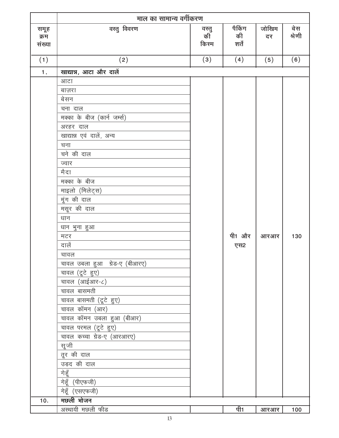|                        | माल का सामान्य वर्गीकरण       |                     |                        |             |               |
|------------------------|-------------------------------|---------------------|------------------------|-------------|---------------|
| समूह<br>क्रम<br>संख्या | वस्तु विवरण                   | वस्तु<br>की<br>किरम | पैकिंग<br>की<br>शर्तें | जोखिम<br>दर | बेस<br>श्रेणी |
| (1)                    | (2)                           | (3)                 | (4)                    | (5)         | (6)           |
| 1.                     | खाद्यान्न, आटा और दालें       |                     |                        |             |               |
|                        | आटा                           |                     |                        |             |               |
|                        | बाज़रा                        |                     |                        |             |               |
|                        | बेसन                          |                     |                        |             |               |
|                        | चना दाल                       |                     |                        |             |               |
|                        | मक्का के बीज (कार्न जर्म्स)   |                     |                        |             |               |
|                        | अरहर दाल                      |                     |                        |             |               |
|                        | खाद्यान्न एवं दालें, अन्य     |                     |                        |             |               |
|                        | चना                           |                     |                        |             |               |
|                        | चने की दाल                    |                     |                        |             |               |
|                        | ज्वार                         |                     |                        |             |               |
|                        | मैदा                          |                     |                        |             |               |
|                        | मक्का के बीज                  |                     |                        |             |               |
|                        | माइलो (मिलेट्स)               |                     |                        |             |               |
|                        | मूंग की दाल                   |                     |                        |             |               |
|                        | मसूर की दाल                   |                     |                        |             |               |
|                        | धान                           |                     |                        |             |               |
|                        | धान भुना हुआ                  |                     |                        |             |               |
|                        | मटर                           |                     | पी1 और                 | आरआर        | 130           |
|                        | दालें                         |                     | एस2                    |             |               |
|                        | चावल                          |                     |                        |             |               |
|                        | चावल उबला हुआ ग्रेड-ए (बीआरए) |                     |                        |             |               |
|                        | चावल (दूटे हुए)               |                     |                        |             |               |
|                        | चावल (आईआर-८)                 |                     |                        |             |               |
|                        | चावल बासमती                   |                     |                        |             |               |
|                        | चावल बासमती (टूटे हुए)        |                     |                        |             |               |
|                        | चावल कॉमन (आर)                |                     |                        |             |               |
|                        | चावल कॉमन उबला हुआ (बीआर)     |                     |                        |             |               |
|                        | चावल परमल (टूटे हुए)          |                     |                        |             |               |
|                        | चावल कच्चा ग्रेड-ए (आरआरए)    |                     |                        |             |               |
|                        | सूजी                          |                     |                        |             |               |
|                        | तूर की दाल                    |                     |                        |             |               |
|                        | उड़द की दाल                   |                     |                        |             |               |
|                        | <u>गेहूँ</u>                  |                     |                        |             |               |
|                        | गेहूँ (पीएफजी)                |                     |                        |             |               |
|                        | गेहूँ (एसएफजी)                |                     |                        |             |               |
| 10.                    | मछली भोजन                     |                     |                        |             |               |
|                        | अस्थायी मछली फीड              |                     | पी1                    | <u>आरआर</u> | 100           |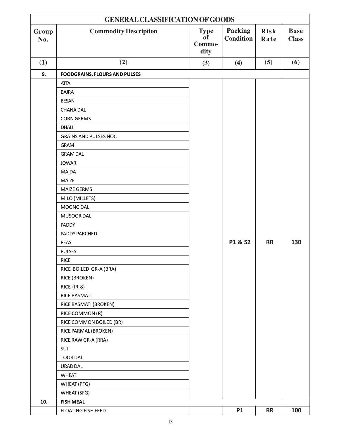| <b>GENERAL CLASSIFICATION OF GOODS</b> |                                      |                                            |                                    |                     |                             |
|----------------------------------------|--------------------------------------|--------------------------------------------|------------------------------------|---------------------|-----------------------------|
| Group<br>No.                           | <b>Commodity Description</b>         | <b>Type</b><br><b>of</b><br>Commo-<br>dity | <b>Packing</b><br><b>Condition</b> | <b>Risk</b><br>Rate | <b>Base</b><br><b>Class</b> |
| (1)                                    | (2)                                  | (3)                                        | (4)                                | (5)                 | (6)                         |
| 9.                                     | <b>FOODGRAINS, FLOURS AND PULSES</b> |                                            |                                    |                     |                             |
|                                        | <b>ATTA</b>                          |                                            |                                    |                     |                             |
|                                        | <b>BAJRA</b>                         |                                            |                                    |                     |                             |
|                                        | <b>BESAN</b>                         |                                            |                                    |                     |                             |
|                                        | <b>CHANADAL</b>                      |                                            |                                    |                     |                             |
|                                        | <b>CORN GERMS</b>                    |                                            |                                    |                     |                             |
|                                        | <b>DHALL</b>                         |                                            |                                    |                     |                             |
|                                        | <b>GRAINS AND PULSES NOC</b>         |                                            |                                    |                     |                             |
|                                        | <b>GRAM</b>                          |                                            |                                    |                     |                             |
|                                        | <b>GRAM DAL</b>                      |                                            |                                    |                     |                             |
|                                        | <b>JOWAR</b>                         |                                            |                                    |                     |                             |
|                                        | <b>MAIDA</b>                         |                                            |                                    |                     |                             |
|                                        | <b>MAIZE</b>                         |                                            |                                    |                     |                             |
|                                        | <b>MAIZE GERMS</b>                   |                                            |                                    |                     |                             |
|                                        | MILO (MILLETS)                       |                                            |                                    |                     |                             |
|                                        | MOONG DAL                            |                                            |                                    |                     |                             |
|                                        | MUSOOR DAL                           |                                            |                                    |                     |                             |
|                                        | <b>PADDY</b>                         |                                            |                                    |                     |                             |
|                                        | PADDY PARCHED                        |                                            |                                    |                     |                             |
|                                        | <b>PEAS</b>                          |                                            | P1 & S2                            | <b>RR</b>           | 130                         |
|                                        | <b>PULSES</b>                        |                                            |                                    |                     |                             |
|                                        | <b>RICE</b>                          |                                            |                                    |                     |                             |
|                                        | RICE BOILED GR-A (BRA)               |                                            |                                    |                     |                             |
|                                        | RICE (BROKEN)                        |                                            |                                    |                     |                             |
|                                        | RICE (IR-8)                          |                                            |                                    |                     |                             |
|                                        | RICE BASMATI                         |                                            |                                    |                     |                             |
|                                        | RICE BASMATI (BROKEN)                |                                            |                                    |                     |                             |
|                                        | RICE COMMON (R)                      |                                            |                                    |                     |                             |
|                                        | RICE COMMON BOILED (BR)              |                                            |                                    |                     |                             |
|                                        | RICE PARMAL (BROKEN)                 |                                            |                                    |                     |                             |
|                                        | RICE RAW GR-A (RRA)                  |                                            |                                    |                     |                             |
|                                        | SUJI                                 |                                            |                                    |                     |                             |
|                                        | <b>TOOR DAL</b>                      |                                            |                                    |                     |                             |
|                                        | URAD DAL                             |                                            |                                    |                     |                             |
|                                        | <b>WHEAT</b>                         |                                            |                                    |                     |                             |
|                                        | WHEAT (PFG)                          |                                            |                                    |                     |                             |
|                                        | <b>WHEAT (SFG)</b>                   |                                            |                                    |                     |                             |
| 10.                                    | <b>FISH MEAL</b>                     |                                            |                                    |                     |                             |
|                                        | FLOATING FISH FEED                   |                                            | <b>P1</b>                          | <b>RR</b>           | 100                         |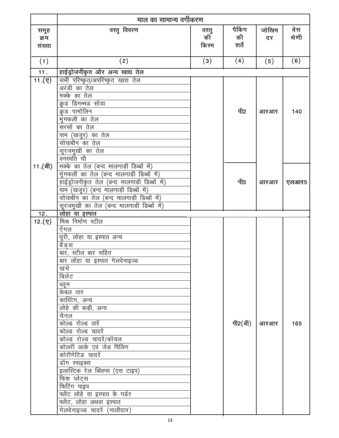|                        | माल का सामान्य वर्गीकरण                                                                                                                                                                                                                                                                                                                                                                                                                                                                        |                     |                        |             |               |
|------------------------|------------------------------------------------------------------------------------------------------------------------------------------------------------------------------------------------------------------------------------------------------------------------------------------------------------------------------------------------------------------------------------------------------------------------------------------------------------------------------------------------|---------------------|------------------------|-------------|---------------|
| समूह<br>क्रम<br>संख्या | वस्तु विवरण                                                                                                                                                                                                                                                                                                                                                                                                                                                                                    | वस्तु<br>की<br>किरम | पैकिंग<br>की<br>शर्तें | जोखिम<br>दर | बेस<br>श्रेणी |
| (1)                    | (2)                                                                                                                                                                                                                                                                                                                                                                                                                                                                                            | (3)                 | (4)                    | (5)         | (6)           |
| 11.                    | हाईड्रोजनीकृत और अन्य खाद्य तेल                                                                                                                                                                                                                                                                                                                                                                                                                                                                |                     |                        |             |               |
| $11.(\nabla)$          | सभी परिष्कृत/अपरिष्कृत खाद्य तेल<br>अरंडी का तेल<br>मक्के का तेल<br>क्रूड डिगम्मड सोया<br>क्रुड पामोलिन<br>् <u>म</u><br>मूंगफली क <u>ा तेल</u><br><del></del><br>संरसों का तेल<br>पाम (खजूर) का तेल<br>सोयाबीन का तेल<br>सूरजमूखी का तेल<br>वनस्पति घी                                                                                                                                                                                                                                        |                     | पी2                    | आरआर        | 140           |
| 11.(बी)                | मक्के का तेल (बन्द मालगाड़ी डिब्बों में)<br>मूंगफली का तेल (बन्द मालगाड़ी डिब्बों में)<br>हाईड्रोजनीकृत तेल (बन्द मालगाड़ी डिब्बों में)<br>पाम (खजूर) (बन्द मालगाड़ी डिब्बों में)<br>सोयाबीन का तेल (बन्द मालगाड़ी डिब्बों में)                                                                                                                                                                                                                                                                |                     | पी5                    | आरआर        | एलआर5         |
| 12.<br>12.(7)          | लोहा या इस्पात<br>मिश्र निर्माण स्टील                                                                                                                                                                                                                                                                                                                                                                                                                                                          |                     |                        |             |               |
|                        | ऐंगल<br>धूरी, लोहा या इस्पात अन्य<br>बैंड स<br>बार, स्टील बार सहित<br>बार लोहा या इस्पात गेलवेनाइज्ड<br>खंभें<br>बिलेट<br>ब्लूम<br>केबल तार<br>कास्टिंग, अन्य<br>लोहे की कड़ी, अन्य<br>चैनल<br>कोल्ड रोल्ड तारें<br>कोल्ड रोल्ड चादरें<br>कोल्ड रोल्ड चादरें/कॉयल<br>कोलरी आर्क एवं जेड पिलिंग<br>कोरीगेटिड चादरें<br>डॉंग स्पाइक्स<br>इलास्टिक रेल क्लिप्स (एस टाइप)<br>फिश प्लेटस<br>फिटिंग पाइप<br>फ्लैट लोहे या इस्पात के गर्डर<br>फ्लैट, लोहा अथवा इस्पात<br>गेलवेनाइज्ड चादरें (नालीदार) |                     | पी2 $(\hat{d})$        | आरआर        | 165           |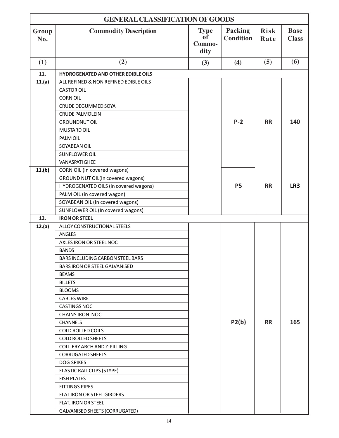| <b>GENERAL CLASSIFICATION OF GOODS</b> |                                           |                                     |                                    |                     |                             |
|----------------------------------------|-------------------------------------------|-------------------------------------|------------------------------------|---------------------|-----------------------------|
| Group<br>No.                           | <b>Commodity Description</b>              | <b>Type</b><br>of<br>Commo-<br>dity | <b>Packing</b><br><b>Condition</b> | <b>Risk</b><br>Rate | <b>Base</b><br><b>Class</b> |
| (1)                                    | (2)                                       | (3)                                 | (4)                                | (5)                 | (6)                         |
| 11.                                    | <b>HYDROGENATED AND OTHER EDIBLE OILS</b> |                                     |                                    |                     |                             |
| 11.(a)                                 | ALL REFINED & NON REFINED EDIBLE OILS     |                                     |                                    |                     |                             |
|                                        | <b>CASTOR OIL</b>                         |                                     |                                    |                     |                             |
|                                        | <b>CORN OIL</b>                           |                                     |                                    |                     |                             |
|                                        | CRUDE DEGUMMED SOYA                       |                                     |                                    |                     |                             |
|                                        | <b>CRUDE PALMOLEIN</b>                    |                                     |                                    |                     |                             |
|                                        | <b>GROUNDNUT OIL</b>                      |                                     | $P-2$                              | <b>RR</b>           | 140                         |
|                                        | <b>MUSTARD OIL</b>                        |                                     |                                    |                     |                             |
|                                        | PALM OIL                                  |                                     |                                    |                     |                             |
|                                        | SOYABEAN OIL                              |                                     |                                    |                     |                             |
|                                        | SUNFLOWER OIL                             |                                     |                                    |                     |                             |
|                                        | <b>VANASPATI GHEE</b>                     |                                     |                                    |                     |                             |
| 11.(b)                                 | CORN OIL (In covered wagons)              |                                     |                                    |                     |                             |
|                                        | GROUND NUT OIL(In covered wagons)         |                                     |                                    |                     |                             |
|                                        | HYDROGENATED OILS (in covered wagons)     |                                     | <b>P5</b>                          | <b>RR</b>           | LR3                         |
|                                        | PALM OIL (in covered wagon)               |                                     |                                    |                     |                             |
|                                        | SOYABEAN OIL (In covered wagons)          |                                     |                                    |                     |                             |
|                                        | SUNFLOWER OIL (In covered wagons)         |                                     |                                    |                     |                             |
| 12.                                    | <b>IRON OR STEEL</b>                      |                                     |                                    |                     |                             |
| 12.(a)                                 | ALLOY CONSTRUCTIONAL STEELS               |                                     |                                    |                     |                             |
|                                        | <b>ANGLES</b>                             |                                     |                                    |                     |                             |
|                                        | AXLES IRON OR STEEL NOC                   |                                     |                                    |                     |                             |
|                                        | <b>BANDS</b>                              |                                     |                                    |                     |                             |
|                                        | BARS INCLUDING CARBON STEEL BARS          |                                     |                                    |                     |                             |
|                                        | BARS IRON OR STEEL GALVANISED             |                                     |                                    |                     |                             |
|                                        | <b>BEAMS</b>                              |                                     |                                    |                     |                             |
|                                        | <b>BILLETS</b>                            |                                     |                                    |                     |                             |
|                                        | <b>BLOOMS</b>                             |                                     |                                    |                     |                             |
|                                        | <b>CABLES WIRE</b>                        |                                     |                                    |                     |                             |
|                                        | <b>CASTINGS NOC</b>                       |                                     |                                    |                     |                             |
|                                        | <b>CHAINS IRON NOC</b>                    |                                     |                                    |                     |                             |
|                                        | <b>CHANNELS</b>                           |                                     | P2(b)                              | <b>RR</b>           | 165                         |
|                                        | <b>COLD ROLLED COILS</b>                  |                                     |                                    |                     |                             |
|                                        | <b>COLD ROLLED SHEETS</b>                 |                                     |                                    |                     |                             |
|                                        | COLLIERY ARCH AND Z-PILLING               |                                     |                                    |                     |                             |
|                                        | <b>CORRUGATED SHEETS</b>                  |                                     |                                    |                     |                             |
|                                        | <b>DOG SPIKES</b>                         |                                     |                                    |                     |                             |
|                                        | <b>ELASTIC RAIL CLIPS (STYPE)</b>         |                                     |                                    |                     |                             |
|                                        | <b>FISH PLATES</b>                        |                                     |                                    |                     |                             |
|                                        | <b>FITTINGS PIPES</b>                     |                                     |                                    |                     |                             |
|                                        | FLAT IRON OR STEEL GIRDERS                |                                     |                                    |                     |                             |
|                                        | FLAT, IRON OR STEEL                       |                                     |                                    |                     |                             |
|                                        | GALVANISED SHEETS (CORRUGATED)            |                                     |                                    |                     |                             |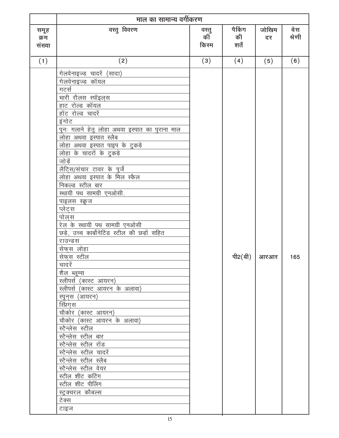|                        | माल का सामान्य वर्गीकरण                                                                                                                                                                                                                                                                                                                                                                                                                                                                                                                                                                                                                                                                                                                                                                                                                                                                                                                                                                        |                     |                        |                                   |               |
|------------------------|------------------------------------------------------------------------------------------------------------------------------------------------------------------------------------------------------------------------------------------------------------------------------------------------------------------------------------------------------------------------------------------------------------------------------------------------------------------------------------------------------------------------------------------------------------------------------------------------------------------------------------------------------------------------------------------------------------------------------------------------------------------------------------------------------------------------------------------------------------------------------------------------------------------------------------------------------------------------------------------------|---------------------|------------------------|-----------------------------------|---------------|
| समूह<br>क्रम<br>संख्या | वस्तु विवरण                                                                                                                                                                                                                                                                                                                                                                                                                                                                                                                                                                                                                                                                                                                                                                                                                                                                                                                                                                                    | वस्तु<br>की<br>किरम | पैकिंग<br>की<br>शर्तें | जोखिम<br>दर                       | बेस<br>श्रेणी |
| (1)                    | (2)                                                                                                                                                                                                                                                                                                                                                                                                                                                                                                                                                                                                                                                                                                                                                                                                                                                                                                                                                                                            | (3)                 | (4)                    | (5)                               | (6)           |
|                        | गेलवेनाइज्ड चादरें (सादा)<br>गेलवेनाइज्ड कॉयल<br>गटर्स<br>भा <u>री रौलस स्पॉइल्स</u><br>हाट रोल्ड कॉयल<br><u>हॉट रो</u> ल्ड चादरें<br>इंगोट<br>पुनः गलाने हेतु लोहा अथवा इस्पात का पुराना माल<br>लोहा अथवा इस्पात स्लैब<br><u>लोहा अथवा इस्पात पाइप के टुकड़े</u><br>लोहा के चादरों के टुकड़े<br>जोड़ें<br>लैटि्स/संचार टावर के पुर्जे<br>लोहा अथवा इस्पात के मिल स्कैल<br>निकल्ड स्टील बार<br>स्थायी पथ सामग्री एनओसी.<br><u>पाइलस स्क्रूज</u><br>प्लेट्स<br>पोल्स<br>रेल के स्थायी पथ सामग्री एनओसी<br>छड़े, उच्च कार्बोनेटिंड स्टील की छड़ों सहित<br>राउन्डस<br>सेफ्स लोहा<br>सेफस स्टील<br>चादरें<br>शैल ब्लूम्स<br>स्लीपर्स (कास्ट_आयरन)<br>स्लीपर्स (कास्ट आयरन के अलावा)<br>स्पून्स् (आयरन)<br>स्प्रिंगुस<br>चौकोर (कास्ट आयरन)<br>चौकोर (कास्ट आयरन के अलावा)<br>स्टैन्लेस स्टील<br>स्टैन्लेस स्टील बार<br>स्टैन्लेस स्टील रॉड<br>स्टैन्लेस स्टील चादरें<br>स्टैन्लेस स्टील स्लैब<br>स्टैन्लेस स्टील वेयर<br>स्टील शीट कटिंग<br>स्टील शीट पीलिंग<br>स्ट्रक्चरल कौबल्स<br>टेक्स<br>टाइज |                     |                        | पी2 $(\hat{\mathfrak{q}})$   आरआर | 165           |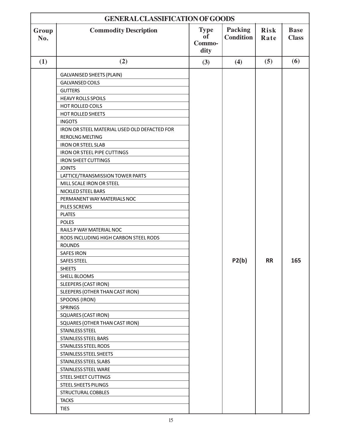| <b>GENERAL CLASSIFICATION OF GOODS</b> |                                              |                                            |                             |                     |                             |  |
|----------------------------------------|----------------------------------------------|--------------------------------------------|-----------------------------|---------------------|-----------------------------|--|
| Group<br>No.                           | <b>Commodity Description</b>                 | <b>Type</b><br><b>of</b><br>Commo-<br>dity | Packing<br><b>Condition</b> | <b>Risk</b><br>Rate | <b>Base</b><br><b>Class</b> |  |
| (1)                                    | (2)                                          | (3)                                        | (4)                         | (5)                 | (6)                         |  |
|                                        | <b>GALVANISED SHEETS (PLAIN)</b>             |                                            |                             |                     |                             |  |
|                                        | <b>GALVANSED COILS</b>                       |                                            |                             |                     |                             |  |
|                                        | <b>GUTTERS</b>                               |                                            |                             |                     |                             |  |
|                                        | <b>HEAVY ROLLS SPOILS</b>                    |                                            |                             |                     |                             |  |
|                                        | HOT ROLLED COILS                             |                                            |                             |                     |                             |  |
|                                        | <b>HOT ROLLED SHEETS</b>                     |                                            |                             |                     |                             |  |
|                                        | <b>INGOTS</b>                                |                                            |                             |                     |                             |  |
|                                        | IRON OR STEEL MATERIAL USED OLD DEFACTED FOR |                                            |                             |                     |                             |  |
|                                        | <b>REROLNG MELTING</b>                       |                                            |                             |                     |                             |  |
|                                        | <b>IRON OR STEEL SLAB</b>                    |                                            |                             |                     |                             |  |
|                                        | <b>IRON OR STEEL PIPE CUTTINGS</b>           |                                            |                             |                     |                             |  |
|                                        | <b>IRON SHEET CUTTINGS</b>                   |                                            |                             |                     |                             |  |
|                                        | <b>JOINTS</b>                                |                                            |                             |                     |                             |  |
|                                        | LATTICE/TRANSMISSION TOWER PARTS             |                                            |                             |                     |                             |  |
|                                        | MILL SCALE IRON OR STEEL                     |                                            |                             |                     |                             |  |
|                                        | NICKLED STEEL BARS                           |                                            |                             |                     |                             |  |
|                                        | PERMANENT WAY MATERIALS NOC                  |                                            |                             |                     |                             |  |
|                                        | PILES SCREWS                                 |                                            |                             |                     |                             |  |
|                                        | <b>PLATES</b>                                |                                            |                             |                     |                             |  |
|                                        | <b>POLES</b>                                 |                                            |                             |                     |                             |  |
|                                        | RAILS P WAY MATERIAL NOC                     |                                            |                             |                     |                             |  |
|                                        | RODS INCLUDING HIGH CARBON STEEL RODS        |                                            |                             |                     |                             |  |
|                                        | <b>ROUNDS</b>                                |                                            |                             |                     |                             |  |
|                                        | <b>SAFES IRON</b>                            |                                            |                             |                     |                             |  |
|                                        | <b>SAFES STEEL</b>                           |                                            | P2(b)                       | <b>RR</b>           | 165                         |  |
|                                        | <b>SHEETS</b>                                |                                            |                             |                     |                             |  |
|                                        | SHELL BLOOMS                                 |                                            |                             |                     |                             |  |
|                                        | <b>SLEEPERS (CAST IRON)</b>                  |                                            |                             |                     |                             |  |
|                                        | SLEEPERS (OTHER THAN CAST IRON)              |                                            |                             |                     |                             |  |
|                                        | SPOONS (IRON)                                |                                            |                             |                     |                             |  |
|                                        | <b>SPRINGS</b>                               |                                            |                             |                     |                             |  |
|                                        | <b>SQUARES (CAST IRON)</b>                   |                                            |                             |                     |                             |  |
|                                        | SQUARES (OTHER THAN CAST IRON)               |                                            |                             |                     |                             |  |
|                                        | <b>STAINLESS STEEL</b>                       |                                            |                             |                     |                             |  |
|                                        | STAINLESS STEEL BARS                         |                                            |                             |                     |                             |  |
|                                        | STAINLESS STEEL RODS                         |                                            |                             |                     |                             |  |
|                                        | STAINLESS STEEL SHEETS                       |                                            |                             |                     |                             |  |
|                                        | STAINLESS STEEL SLABS                        |                                            |                             |                     |                             |  |
|                                        | STAINLESS STEEL WARE                         |                                            |                             |                     |                             |  |
|                                        | STEEL SHEET CUTTINGS                         |                                            |                             |                     |                             |  |
|                                        | <b>STEEL SHEETS PILINGS</b>                  |                                            |                             |                     |                             |  |
|                                        | STRUCTURAL COBBLES                           |                                            |                             |                     |                             |  |
|                                        | <b>TACKS</b>                                 |                                            |                             |                     |                             |  |
|                                        | <b>TIES</b>                                  |                                            |                             |                     |                             |  |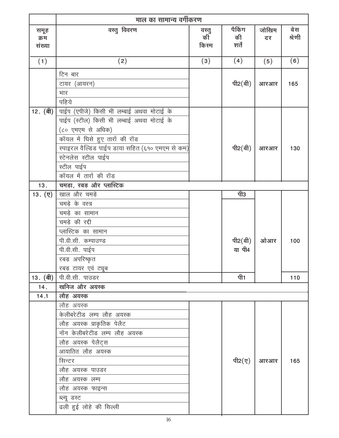|                        | माल का सामान्य वर्गीकरण                         |                     |                        |             |               |
|------------------------|-------------------------------------------------|---------------------|------------------------|-------------|---------------|
| समूह<br>क्रम<br>संख्या | वस्तु विवरण                                     | वस्तु<br>की<br>किरम | पैकिंग<br>की<br>शर्तें | जोखिम<br>दर | बेस<br>श्रेणी |
| (1)                    | (2)                                             | (3)                 | (4)                    | (5)         | (6)           |
|                        | टिन बार                                         |                     |                        |             |               |
|                        | टायर (आयरन)                                     |                     | पी2 $(d)$              | आरआर        | 165           |
|                        | भार                                             |                     |                        |             |               |
|                        | पहिये                                           |                     |                        |             |               |
| 12. (बी)               | पाईप (एपीजे) किसी भी लम्बाई अथवा मोटाई के       |                     |                        |             |               |
|                        | पाईप (स्टील) किसी भी लम्बाई अथवा मोटाई के       |                     |                        |             |               |
|                        | (८० एमएम से अधिक)                               |                     |                        |             |               |
|                        | कॉयल में धिसे हुए तारों की रॉड                  |                     |                        |             |               |
|                        | स्पाइरल वैल्डिड पाईप डाया सहित (६१० एमएम से कम) |                     | पी2 $(\hat{d})$        | आरआर        | 130           |
|                        | स्टेनलेस स्टील पाईप                             |                     |                        |             |               |
|                        | स्टील पाईप                                      |                     |                        |             |               |
|                        | कॉयल में तारों की रॉड                           |                     |                        |             |               |
| 13.                    | चमड़ा, रबड़ और प्लास्टिक                        |                     |                        |             |               |
| $13.(\nabla)$          | खाल और चमड़े                                    |                     | पी3                    |             |               |
|                        | चमड़े के वस्त्र                                 |                     |                        |             |               |
|                        | चमड़े का सामान                                  |                     |                        |             |               |
|                        | चमड़े की रद्दी                                  |                     |                        |             |               |
|                        | प्लास्टिक का सामान                              |                     |                        |             |               |
|                        | पी.वी.सी. कम्पाउण्ड                             |                     | पी2 $(\hat{d})$        | ओआर         | 100           |
|                        | पी.वी.सी. पाईप                                  |                     | या पी4                 |             |               |
|                        | रबड़ अपरिष्कृत                                  |                     |                        |             |               |
|                        | रबड़ टायर एवं ट्यूब                             |                     |                        |             |               |
| 13. (बी)               | पी.वी.सी. पाउडर                                 |                     | पी1                    |             | 110           |
| 14.                    | खनिज और अयस्क                                   |                     |                        |             |               |
| 14.1                   | लौह अयस्क                                       |                     |                        |             |               |
|                        | लौह अयस्क                                       |                     |                        |             |               |
|                        | केलीबरेटीड लम्प लौह अयस्क                       |                     |                        |             |               |
|                        | लौह अयस्क प्राकृतिक पेलैट                       |                     |                        |             |               |
|                        | नॉन केलीबरेटीड लम्प लौह अयस्क                   |                     |                        |             |               |
|                        | लौह अयस्क पेलैट्स                               |                     |                        |             |               |
|                        | आयातित लौह अयस्क                                |                     |                        |             |               |
|                        | सिन्टर                                          |                     | पी2 $(\bar{q})$        | आरआर        | 165           |
|                        | लौह अयस्क पाउडर                                 |                     |                        |             |               |
|                        | लौह अयस्क लम्प                                  |                     |                        |             |               |
|                        | लौह अयस्क फाइन्स                                |                     |                        |             |               |
|                        | ब्ल्यू डस्ट                                     |                     |                        |             |               |
|                        | ढली हुई लोहे की सिल्ली                          |                     |                        |             |               |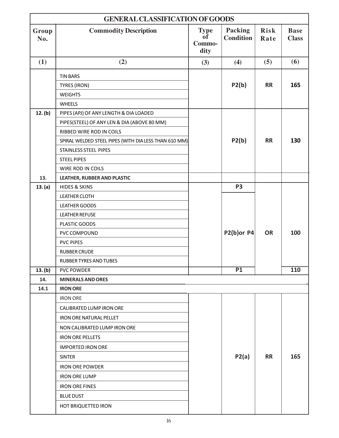| <b>GENERAL CLASSIFICATION OF GOODS</b> |                                                       |                                     |                                    |                     |                             |  |
|----------------------------------------|-------------------------------------------------------|-------------------------------------|------------------------------------|---------------------|-----------------------------|--|
| Group<br>No.                           | <b>Commodity Description</b>                          | <b>Type</b><br>0f<br>Commo-<br>dity | <b>Packing</b><br><b>Condition</b> | <b>Risk</b><br>Rate | <b>Base</b><br><b>Class</b> |  |
| (1)                                    | (2)                                                   | (3)                                 | (4)                                | (5)                 | (6)                         |  |
|                                        | <b>TIN BARS</b>                                       |                                     |                                    |                     |                             |  |
|                                        | TYRES (IRON)                                          |                                     | P2(b)                              | <b>RR</b>           | 165                         |  |
|                                        | <b>WEIGHTS</b>                                        |                                     |                                    |                     |                             |  |
|                                        | <b>WHEELS</b>                                         |                                     |                                    |                     |                             |  |
| 12. (b)                                | PIPES (APJ) OF ANY LENGTH & DIA LOADED                |                                     |                                    |                     |                             |  |
|                                        | PIPES(STEEL) OF ANY LEN & DIA (ABOVE 80 MM)           |                                     |                                    |                     |                             |  |
|                                        | RIBBED WIRE ROD IN COILS                              |                                     |                                    |                     |                             |  |
|                                        | SPIRAL WELDED STEEL PIPES (WITH DIA LESS THAN 610 MM) |                                     | P2(b)                              | <b>RR</b>           | 130                         |  |
|                                        | <b>STAINLESS STEEL PIPES</b>                          |                                     |                                    |                     |                             |  |
|                                        | <b>STEEL PIPES</b>                                    |                                     |                                    |                     |                             |  |
|                                        | WIRE ROD IN COILS                                     |                                     |                                    |                     |                             |  |
| 13.                                    | LEATHER, RUBBER AND PLASTIC                           |                                     |                                    |                     |                             |  |
| 13. (a)                                | <b>HIDES &amp; SKINS</b>                              |                                     | P <sub>3</sub>                     |                     |                             |  |
|                                        | <b>LEATHER CLOTH</b>                                  |                                     |                                    |                     |                             |  |
|                                        | <b>LEATHER GOODS</b>                                  |                                     |                                    |                     |                             |  |
|                                        | <b>LEATHER REFUSE</b>                                 |                                     |                                    |                     |                             |  |
|                                        | PLASTIC GOODS                                         |                                     |                                    |                     |                             |  |
|                                        | PVC COMPOUND                                          |                                     | P2(b)or P4                         | <b>OR</b>           | 100                         |  |
|                                        | <b>PVC PIPES</b>                                      |                                     |                                    |                     |                             |  |
|                                        | <b>RUBBER CRUDE</b>                                   |                                     |                                    |                     |                             |  |
|                                        | RUBBER TYRES AND TUBES                                |                                     |                                    |                     |                             |  |
| 13. (b)                                | <b>PVC POWDER</b>                                     |                                     | P1                                 |                     | 110                         |  |
| 14.                                    | <b>MINERALS AND ORES</b>                              |                                     |                                    |                     |                             |  |
| 14.1                                   | <b>IRON ORE</b>                                       |                                     |                                    |                     |                             |  |
|                                        | <b>IRON ORE</b>                                       |                                     |                                    |                     |                             |  |
|                                        | <b>CALIBRATED LUMP IRON ORE</b>                       |                                     |                                    |                     |                             |  |
|                                        | <b>IRON ORE NATURAL PELLET</b>                        |                                     |                                    |                     |                             |  |
|                                        | NON CALIBRATED LUMP IRON ORE                          |                                     |                                    |                     |                             |  |
|                                        | <b>IRON ORE PELLETS</b>                               |                                     |                                    |                     |                             |  |
|                                        | <b>IMPORTED IRON ORE</b>                              |                                     |                                    |                     |                             |  |
|                                        | <b>SINTER</b>                                         |                                     | P2(a)                              | <b>RR</b>           | 165                         |  |
|                                        | <b>IRON ORE POWDER</b>                                |                                     |                                    |                     |                             |  |
|                                        | <b>IRON ORE LUMP</b>                                  |                                     |                                    |                     |                             |  |
|                                        | <b>IRON ORE FINES</b>                                 |                                     |                                    |                     |                             |  |
|                                        | <b>BLUE DUST</b>                                      |                                     |                                    |                     |                             |  |
|                                        | HOT BRIQUETTED IRON                                   |                                     |                                    |                     |                             |  |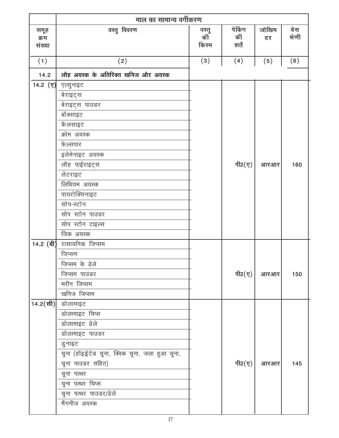|                        | माल का सामान्य वर्गीकरण                          |                      |                        |             |                |
|------------------------|--------------------------------------------------|----------------------|------------------------|-------------|----------------|
| समूह<br>क्रम<br>संख्या | वस्तु विवरण                                      | वस्तु<br>कीँ<br>किरम | पेकिंग<br>की<br>शर्तें | जोखिम<br>दर | बे स<br>श्रेणी |
| (1)                    | (2)                                              | (3)                  | (4)                    | (5)         | (6)            |
| 14.2                   | लौह अयस्क के अतिरिक्त खनिज और अयस्क              |                      |                        |             |                |
| 14.2 $(\nabla)$        | एल्युनाइट                                        |                      |                        |             |                |
|                        | बेराइट्स                                         |                      |                        |             |                |
|                        | बेराइट्स पाउडर                                   |                      |                        |             |                |
|                        | बॉक्साइट                                         |                      |                        |             |                |
|                        | कैलसाइट                                          |                      |                        |             |                |
|                        | क्रोम अयस्क                                      |                      |                        |             |                |
|                        | फेल्सपार                                         |                      |                        |             |                |
|                        | इलेमेनाइट अयस्क                                  |                      |                        |             |                |
|                        | लौह पाईराइट्स                                    |                      | पी2 $(\nabla)$         | आरआर        | 160            |
|                        | लेटराइट                                          |                      |                        |             |                |
|                        | लिथियम अयस्क                                     |                      |                        |             |                |
|                        | पायरोक्सिनाइट                                    |                      |                        |             |                |
|                        | सोप-स्टोन                                        |                      |                        |             |                |
|                        | सोप स्टोन पाउडर                                  |                      |                        |             |                |
|                        | सोप स्टोन टाइल्स                                 |                      |                        |             |                |
|                        | जिंक अयस्क                                       |                      |                        |             |                |
| 14.2 (बी)              | रासायनिक जिप्सम                                  |                      |                        |             |                |
|                        | जिप्सम                                           |                      |                        |             |                |
|                        | जिप्सम के ढेले                                   |                      |                        |             |                |
|                        | जिप्सम पाउडर                                     |                      | पी2 $(\nabla)$         | आरआर        | 150            |
|                        | मरीन जिप्सम                                      |                      |                        |             |                |
|                        | खनिज जिप्सम                                      |                      |                        |             |                |
| 14.2(सी)               | डोलामाइट                                         |                      |                        |             |                |
|                        | डोलामाइट चिप्स                                   |                      |                        |             |                |
|                        | डोलामाइट ढेले                                    |                      |                        |             |                |
|                        | डोलामाइट पाउडर                                   |                      |                        |             |                |
|                        | डुनाइट                                           |                      |                        |             |                |
|                        | चूना (हॉइड्रेटेड चूना, क्विक चूना, जला हुआ चूना, |                      |                        |             |                |
|                        | चूना पाउडर सहित)                                 |                      | पी2 $(\nabla)$         | आरआर        | 145            |
|                        | चूना पत्थर                                       |                      |                        |             |                |
|                        | चूना पत्थर चिप्स                                 |                      |                        |             |                |
|                        | चूना पत्थर पाउडर/ढेले                            |                      |                        |             |                |
|                        | मैंगनीज अयस्क                                    |                      |                        |             |                |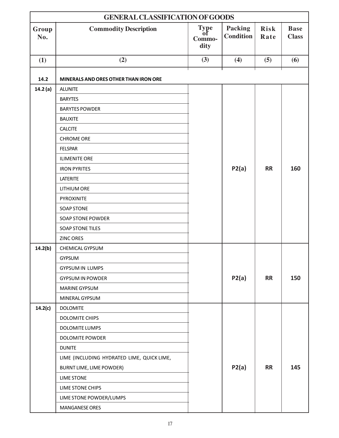| <b>GENERAL CLASSIFICATION OF GOODS</b> |                                            |                                     |                                    |                     |                                |  |
|----------------------------------------|--------------------------------------------|-------------------------------------|------------------------------------|---------------------|--------------------------------|--|
| Group<br>No.                           | <b>Commodity Description</b>               | <b>Type</b><br>оf<br>Commo-<br>dity | <b>Packing</b><br><b>Condition</b> | <b>Risk</b><br>Rate | <b>Base</b><br><b>Class</b>    |  |
| (1)                                    | (2)                                        | (3)                                 | (4)                                | (5)                 | $\boldsymbol{\left( 6\right)}$ |  |
|                                        |                                            |                                     |                                    |                     |                                |  |
| 14.2                                   | MINERALS AND ORES OTHER THAN IRON ORE      |                                     |                                    |                     |                                |  |
| 14.2(a)                                | <b>ALUNITE</b>                             |                                     |                                    |                     |                                |  |
|                                        | <b>BARYTES</b>                             |                                     |                                    |                     |                                |  |
|                                        | <b>BARYTES POWDER</b>                      |                                     |                                    |                     |                                |  |
|                                        | <b>BAUXITE</b>                             |                                     |                                    |                     |                                |  |
|                                        | <b>CALCITE</b>                             |                                     |                                    |                     |                                |  |
|                                        | <b>CHROME ORE</b>                          |                                     |                                    |                     |                                |  |
|                                        | <b>FELSPAR</b>                             |                                     |                                    |                     |                                |  |
|                                        | <b>ILIMENITE ORE</b>                       |                                     |                                    |                     |                                |  |
|                                        | <b>IRON PYRITES</b>                        |                                     | P2(a)                              | <b>RR</b>           | 160                            |  |
|                                        | LATERITE                                   |                                     |                                    |                     |                                |  |
|                                        | <b>LITHIUM ORE</b>                         |                                     |                                    |                     |                                |  |
|                                        | PYROXINITE                                 |                                     |                                    |                     |                                |  |
|                                        | <b>SOAP STONE</b>                          |                                     |                                    |                     |                                |  |
|                                        | <b>SOAP STONE POWDER</b>                   |                                     |                                    |                     |                                |  |
|                                        | <b>SOAP STONE TILES</b>                    |                                     |                                    |                     |                                |  |
|                                        | ZINC ORES                                  |                                     |                                    |                     |                                |  |
| 14.2(b)                                | CHEMICAL GYPSUM                            |                                     |                                    |                     |                                |  |
|                                        | <b>GYPSUM</b>                              |                                     |                                    |                     |                                |  |
|                                        | <b>GYPSUM IN LUMPS</b>                     |                                     |                                    |                     |                                |  |
|                                        | <b>GYPSUM IN POWDER</b>                    |                                     | P2(a)                              | <b>RR</b>           | 150                            |  |
|                                        | <b>MARINE GYPSUM</b>                       |                                     |                                    |                     |                                |  |
|                                        | MINERAL GYPSUM                             |                                     |                                    |                     |                                |  |
| 14.2(c)                                | <b>DOLOMITE</b>                            |                                     |                                    |                     |                                |  |
|                                        | <b>DOLOMITE CHIPS</b>                      |                                     |                                    |                     |                                |  |
|                                        | DOLOMITE LUMPS                             |                                     |                                    |                     |                                |  |
|                                        | DOLOMITE POWDER                            |                                     |                                    |                     |                                |  |
|                                        | <b>DUNITE</b>                              |                                     |                                    |                     |                                |  |
|                                        | LIME (INCLUDING HYDRATED LIME, QUICK LIME, |                                     |                                    |                     |                                |  |
|                                        | BURNT LIME, LIME POWDER)                   |                                     | P2(a)                              | <b>RR</b>           | 145                            |  |
|                                        | <b>LIME STONE</b>                          |                                     |                                    |                     |                                |  |
|                                        | LIME STONE CHIPS                           |                                     |                                    |                     |                                |  |
|                                        | LIME STONE POWDER/LUMPS                    |                                     |                                    |                     |                                |  |
|                                        | <b>MANGANESE ORES</b>                      |                                     |                                    |                     |                                |  |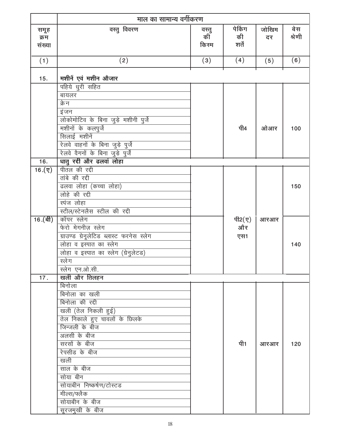|                        | माल का सामान्य वर्गीकरण                                                                                                                                                                                                                                                      |                     |                        |             |                |
|------------------------|------------------------------------------------------------------------------------------------------------------------------------------------------------------------------------------------------------------------------------------------------------------------------|---------------------|------------------------|-------------|----------------|
| समूह<br>क्रम<br>संख्या | वस्तु विवरण                                                                                                                                                                                                                                                                  | वस्तु<br>की<br>किरम | पेकिंग<br>की<br>शर्तें | जोखिम<br>दर | बे स<br>श्रेणी |
| (1)                    | (2)                                                                                                                                                                                                                                                                          | (3)                 | (4)                    | (5)         | (6)            |
| 15.                    | मशीनें एवं मशीन औजार                                                                                                                                                                                                                                                         |                     |                        |             |                |
|                        | पहिये धुरी सहित<br>बायलर<br>क्रेन<br>इंजन<br>लोकोमोटिव के बिना जुड़े मशीनी पुर्जे<br>मशीनों के कलपुर्जे<br>सिलाई मशीनें<br>रेलवे वाहनों के बिना जुड़े पुर्जे                                                                                                                 |                     | पी4                    | ओआर         | 100            |
| 16.                    | रेलवे वैगनों के बिना जुड़े पुर्जें<br><u>घातु रद्दी और ढलवां लोहा</u>                                                                                                                                                                                                        |                     |                        |             |                |
| $16.(\nabla)$          | पीतल की रद्दी<br>तांबे की रद्दी<br>ढलवा लोहा (कच्चा लोहा)<br>लोहे की रद्दी<br>स्पंज लोहा<br>स्टील/स्टेनलैस स्टील की रद्दी                                                                                                                                                    |                     |                        |             | 150            |
| $16.$ (बी)             | कॉपर स्लेग<br>फेरो मेगनीज़ स्लेग<br>ग्राउण्ड ग्रेनूलेटिड ब्लास्ट फरनेस स्लेग<br>लोहा व इस्पात का स्लेग<br>लोहा व इस्पात का स्लेग (ग्रेनुलेटड)<br>स्लेग<br>स्लेग एन.ओ.सी.                                                                                                     |                     | पी2 $(y)$<br>और<br>एस1 | आरआर        | 140            |
| 17.                    | खली और तिलहन<br>बिनोला                                                                                                                                                                                                                                                       |                     |                        |             |                |
|                        | बिनोला का खली<br>बिनोला की रद्दी<br>खली (तेल निकली हुई)<br>तेल निकाले हुए चावलों के छिलके<br>जिन्जली के बीज<br>अलसी के बीज<br>सरसों के बीज<br>रेपसीड के बीज<br>खली<br>साल के बीज<br>सोया बीन<br>सोयाबीन निष्कर्षण/टोस्टड<br>मील्स/फ्लैक<br>सोयाबीन के बीज<br>सूरजमुखी के बीज |                     | पी1                    | आरआर        | 120            |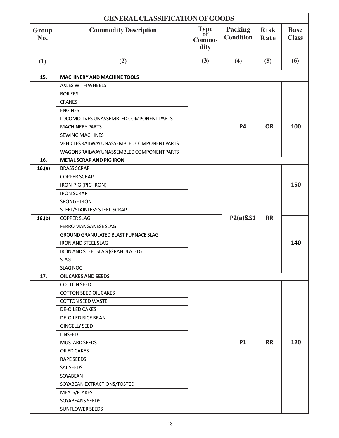| <b>GENERAL CLASSIFICATION OF GOODS</b> |                                                   |                                     |                             |              |                             |  |
|----------------------------------------|---------------------------------------------------|-------------------------------------|-----------------------------|--------------|-----------------------------|--|
| Group<br>No.                           | <b>Commodity Description</b>                      | <b>Type</b><br>ot<br>Commo-<br>dity | Packing<br><b>Condition</b> | Risk<br>Rate | <b>Base</b><br><b>Class</b> |  |
| (1)                                    | (2)                                               | (3)                                 | (4)                         | (5)          | (6)                         |  |
| 15.                                    | <b>MACHINERY AND MACHINE TOOLS</b>                |                                     |                             |              |                             |  |
|                                        | <b>AXLES WITH WHEELS</b>                          |                                     |                             |              |                             |  |
|                                        | <b>BOILERS</b>                                    |                                     |                             |              |                             |  |
|                                        | <b>CRANES</b>                                     |                                     |                             |              |                             |  |
|                                        | <b>ENGINES</b>                                    |                                     |                             |              |                             |  |
|                                        | LOCOMOTIVES UNASSEMBLED COMPONENT PARTS           |                                     |                             |              |                             |  |
|                                        | <b>MACHINERY PARTS</b>                            |                                     | <b>P4</b>                   | <b>OR</b>    | 100                         |  |
|                                        | <b>SEWING MACHINES</b>                            |                                     |                             |              |                             |  |
|                                        | VEHICLES RAILWAY UNASSEMBLED COMPONENT PARTS      |                                     |                             |              |                             |  |
|                                        | WAGONS RAILWAY UNASSEMBLED COMPONENT PARTS        |                                     |                             |              |                             |  |
| 16.                                    | <b>METAL SCRAP AND PIG IRON</b>                   |                                     |                             |              |                             |  |
| 16.(a)                                 | <b>BRASS SCRAP</b>                                |                                     |                             |              |                             |  |
|                                        | <b>COPPER SCRAP</b>                               |                                     |                             |              |                             |  |
|                                        | IRON PIG (PIG IRON)                               |                                     |                             |              | 150                         |  |
|                                        | <b>IRON SCRAP</b>                                 |                                     |                             |              |                             |  |
|                                        | <b>SPONGE IRON</b>                                |                                     |                             |              |                             |  |
|                                        | STEEL/STAINLESS STEEL SCRAP                       |                                     |                             |              |                             |  |
| 16.(b)                                 | <b>COPPER SLAG</b>                                |                                     | P2(a)&S1                    | <b>RR</b>    |                             |  |
|                                        | FERRO MANGANESE SLAG                              |                                     |                             |              |                             |  |
|                                        | GROUND GRANULATED BLAST-FURNACE SLAG              |                                     |                             |              |                             |  |
|                                        | <b>IRON AND STEEL SLAG</b>                        |                                     |                             |              | 140                         |  |
|                                        | IRON AND STEEL SLAG (GRANULATED)                  |                                     |                             |              |                             |  |
|                                        | <b>SLAG</b>                                       |                                     |                             |              |                             |  |
|                                        | <b>SLAG NOC</b>                                   |                                     |                             |              |                             |  |
| 17.                                    | <b>OIL CAKES AND SEEDS</b>                        |                                     |                             |              |                             |  |
|                                        | <b>COTTON SEED</b>                                |                                     |                             |              |                             |  |
|                                        | <b>COTTON SEED OIL CAKES</b>                      |                                     |                             |              |                             |  |
|                                        | <b>COTTON SEED WASTE</b><br><b>DE-OILED CAKES</b> |                                     |                             |              |                             |  |
|                                        | <b>DE-OILED RICE BRAN</b>                         |                                     |                             |              |                             |  |
|                                        | <b>GINGELLY SEED</b>                              |                                     |                             |              |                             |  |
|                                        | <b>LINSEED</b>                                    |                                     |                             |              |                             |  |
|                                        | <b>MUSTARD SEEDS</b>                              |                                     | <b>P1</b>                   | <b>RR</b>    | 120                         |  |
|                                        | OILED CAKES                                       |                                     |                             |              |                             |  |
|                                        | <b>RAPE SEEDS</b>                                 |                                     |                             |              |                             |  |
|                                        | SAL SEEDS                                         |                                     |                             |              |                             |  |
|                                        | SOYABEAN                                          |                                     |                             |              |                             |  |
|                                        | SOYABEAN EXTRACTIONS/TOSTED                       |                                     |                             |              |                             |  |
|                                        | MEALS/FLAKES                                      |                                     |                             |              |                             |  |
|                                        | SOYABEANS SEEDS                                   |                                     |                             |              |                             |  |
|                                        | <b>SUNFLOWER SEEDS</b>                            |                                     |                             |              |                             |  |
|                                        |                                                   |                                     |                             |              |                             |  |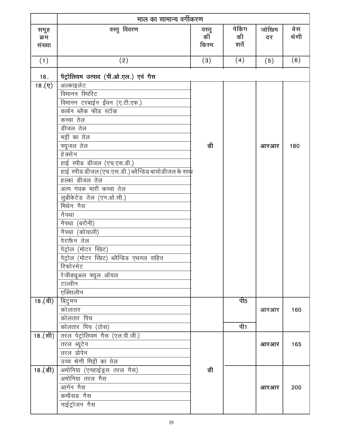|                        | माल का सामान्य वर्गीकरण                              |                     |                        |             |                |
|------------------------|------------------------------------------------------|---------------------|------------------------|-------------|----------------|
| समूह<br>क्रम<br>संख्या | वस्तु विवरण                                          | वस्तु<br>की<br>किरम | पेकिंग<br>की<br>शर्तें | जोखिम<br>दर | वे स<br>श्रेणी |
| (1)                    | (2)                                                  | (3)                 | (4)                    | (5)         | (6)            |
| 18.                    | पैट्रोलियम उत्पाद (पी.ओ.एल.) एवं गैस                 |                     |                        |             |                |
| (5).81                 | अल्काइलेट                                            |                     |                        |             |                |
|                        | विमानन स्पिरिट                                       |                     |                        |             |                |
|                        | विमानन टरबाईन ईंधन (ए.टी.एफ.)                        |                     |                        |             |                |
|                        | कार्बन ब्लैक फीड स्टॉक                               |                     |                        |             |                |
|                        | कच्चा तेल                                            |                     |                        |             |                |
|                        | डीजल तेल                                             |                     |                        |             |                |
|                        | भट्टी का तेल                                         |                     |                        |             |                |
|                        | फ्यूजल तेल                                           | डी                  |                        | आरआर        | 180            |
|                        | हे क्से न                                            |                     |                        |             |                |
|                        | हाई स्पीड डीजल (एच.एस.डी.)                           |                     |                        |             |                |
|                        | हाई स्पीड डीजल (एच.एस.डी.) ब्लैन्डिड बायोडीजल के साथ |                     |                        |             |                |
|                        | हल्का डीजल तेल                                       |                     |                        |             |                |
|                        | अल्प गंधक भारी कच्चा तेल                             |                     |                        |             |                |
|                        | लुब्रीकेटेड तेल (एन.ओ.सी.)                           |                     |                        |             |                |
|                        | मिथेन गैस                                            |                     |                        |             |                |
|                        | नैपथा                                                |                     |                        |             |                |
|                        | नैपथा (बरौनी)                                        |                     |                        |             |                |
|                        | नैपथा (कोयाली)                                       |                     |                        |             |                |
|                        | पेराफैन तेल                                          |                     |                        |             |                |
|                        | पेट्रोल (मोटर स्प्रिट)                               |                     |                        |             |                |
|                        | पेट्रोल (मोटर स्प्रिट) ब्लैन्डिड एथनल सहित           |                     |                        |             |                |
|                        | रिफोरमेट                                             |                     |                        |             |                |
|                        | रेजीड्यूअल फ्यूल ऑयल                                 |                     |                        |             |                |
|                        | टाल्वीन                                              |                     |                        |             |                |
|                        | एक्सिलीन                                             |                     |                        |             |                |
| $18.($ बी)             | बिटुमन                                               |                     | पी5                    |             |                |
|                        | कोलतार<br>कोलतार पिच                                 |                     |                        | आरआर        | 160            |
|                        |                                                      |                     | पी1                    |             |                |
|                        | कोलतार पिच (ठोस)<br>तरल पेट्रोलियम गैस (एल.पी.जी.)   |                     |                        |             |                |
| $\overline{18.}$ (सी)  |                                                      |                     |                        |             |                |
|                        | तरल ब्यूटेन<br>तरल प्रोपेन                           |                     |                        | आरआर        | 165            |
|                        | उच्च श्रेणी मिट्टी का तेल                            |                     |                        |             |                |
| 18.(डी)                | अमोनिया (एनहाईड्रस तरल गैस)                          | डी                  |                        |             |                |
|                        | अमोनिया तरल गैस                                      |                     |                        |             |                |
|                        | आर्गन गैस                                            |                     |                        | आरआर        | 200            |
|                        | कम्प्रैसड गैस                                        |                     |                        |             |                |
|                        | नाईट्रोजन गैस                                        |                     |                        |             |                |
|                        |                                                      |                     |                        |             |                |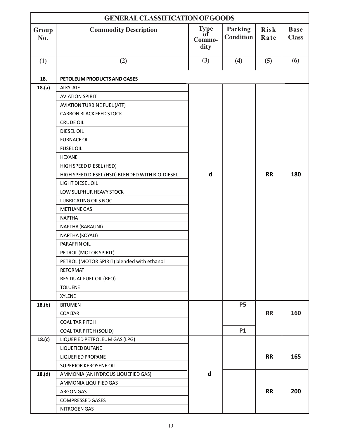|              | <b>GENERAL CLASSIFICATION OF GOODS</b>          |                              |                             |                     |                             |  |  |
|--------------|-------------------------------------------------|------------------------------|-----------------------------|---------------------|-----------------------------|--|--|
| Group<br>No. | <b>Commodity Description</b>                    | Type<br>of<br>Commo-<br>dity | Packing<br><b>Condition</b> | <b>Risk</b><br>Rate | <b>Base</b><br><b>Class</b> |  |  |
| (1)          | (2)                                             | (3)                          | (4)                         | (5)                 | (6)                         |  |  |
|              |                                                 |                              |                             |                     |                             |  |  |
| 18.          | PETOLEUM PRODUCTS AND GASES                     |                              |                             |                     |                             |  |  |
| 18.(a)       | <b>ALKYLATE</b>                                 |                              |                             |                     |                             |  |  |
|              | <b>AVIATION SPIRIT</b>                          |                              |                             |                     |                             |  |  |
|              | <b>AVIATION TURBINE FUEL (ATF)</b>              |                              |                             |                     |                             |  |  |
|              | <b>CARBON BLACK FEED STOCK</b>                  |                              |                             |                     |                             |  |  |
|              | <b>CRUDE OIL</b>                                |                              |                             |                     |                             |  |  |
|              | DIESEL OIL                                      |                              |                             |                     |                             |  |  |
|              | <b>FURNACE OIL</b>                              |                              |                             |                     |                             |  |  |
|              | <b>FUSEL OIL</b>                                |                              |                             |                     |                             |  |  |
|              | <b>HEXANE</b>                                   |                              |                             |                     |                             |  |  |
|              | HIGH SPEED DIESEL (HSD)                         |                              |                             |                     |                             |  |  |
|              | HIGH SPEED DIESEL (HSD) BLENDED WITH BIO-DIESEL | $\mathbf d$                  |                             | <b>RR</b>           | 180                         |  |  |
|              | <b>LIGHT DIESEL OIL</b>                         |                              |                             |                     |                             |  |  |
|              | LOW SULPHUR HEAVY STOCK                         |                              |                             |                     |                             |  |  |
|              | LUBRICATING OILS NOC                            |                              |                             |                     |                             |  |  |
|              | <b>METHANE GAS</b>                              |                              |                             |                     |                             |  |  |
|              | <b>NAPTHA</b>                                   |                              |                             |                     |                             |  |  |
|              | NAPTHA (BARAUNI)                                |                              |                             |                     |                             |  |  |
|              | NAPTHA (KOYALI)                                 |                              |                             |                     |                             |  |  |
|              | PARAFFIN OIL                                    |                              |                             |                     |                             |  |  |
|              | PETROL (MOTOR SPIRIT)                           |                              |                             |                     |                             |  |  |
|              | PETROL (MOTOR SPIRIT) blended with ethanol      |                              |                             |                     |                             |  |  |
|              | <b>REFORMAT</b>                                 |                              |                             |                     |                             |  |  |
|              | RESIDUAL FUEL OIL (RFO)                         |                              |                             |                     |                             |  |  |
|              | <b>TOLUENE</b>                                  |                              |                             |                     |                             |  |  |
|              | <b>XYLENE</b>                                   |                              |                             |                     |                             |  |  |
| 18.(b)       | <b>BITUMEN</b>                                  |                              | <b>P5</b>                   |                     |                             |  |  |
|              | <b>COALTAR</b>                                  |                              |                             | <b>RR</b>           | 160                         |  |  |
|              | <b>COAL TAR PITCH</b>                           |                              |                             |                     |                             |  |  |
|              | <b>COAL TAR PITCH (SOLID)</b>                   |                              | <b>P1</b>                   |                     |                             |  |  |
| 18.(c)       | LIQUEFIED PETROLEUM GAS (LPG)                   |                              |                             |                     |                             |  |  |
|              | LIQUEFIED BUTANE                                |                              |                             |                     |                             |  |  |
|              | LIQUEFIED PROPANE                               |                              |                             | <b>RR</b>           | 165                         |  |  |
|              | SUPERIOR KEROSENE OIL                           |                              |                             |                     |                             |  |  |
| 18.(d)       | AMMONIA (ANHYDROUS LIQUEFIED GAS)               | d                            |                             |                     |                             |  |  |
|              | AMMONIA LIQUIFIED GAS                           |                              |                             |                     |                             |  |  |
|              | ARGON GAS                                       |                              |                             | <b>RR</b>           | 200                         |  |  |
|              | <b>COMPRESSED GASES</b>                         |                              |                             |                     |                             |  |  |
|              | <b>NITROGEN GAS</b>                             |                              |                             |                     |                             |  |  |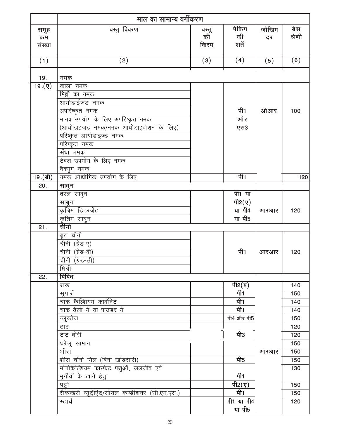|                                | माल का सामान्य वर्गीकरण                         |                     |                        |             |               |
|--------------------------------|-------------------------------------------------|---------------------|------------------------|-------------|---------------|
| समूह<br>क्रम<br>संख्या         | वस्तु विवरण                                     | वस्तु<br>की<br>किरम | पेकिंग<br>की<br>शर्तें | जोखिम<br>दर | बेस<br>श्रेणी |
| (1)                            | (2)                                             | (3)                 | (4)                    | (5)         | (6)           |
| 19.                            | नमक                                             |                     |                        |             |               |
| $\overline{19.(\overline{y})}$ | काला नमक                                        |                     |                        |             |               |
|                                | मिट्टी का नमक                                   |                     |                        |             |               |
|                                | <u>जायोडाईजड नमक</u>                            |                     |                        |             |               |
|                                | अपरिष्कृत नमक                                   |                     | पी1                    | ओआर         | 100           |
|                                | मानव उपयोग के लिए अपरिष्कृत नमक                 |                     | और                     |             |               |
|                                | (आयोडाइजड नमक/नमक आयोडाइजेशन के लिए)            |                     | एस3                    |             |               |
|                                | परिष्कृत आयोडाइज्ड नमक                          |                     |                        |             |               |
|                                | परिष्कृत नमक                                    |                     |                        |             |               |
|                                | सेंधा नमक                                       |                     |                        |             |               |
|                                | टेबल उपयोग के लिए नमक                           |                     |                        |             |               |
|                                | वैक्युम नमक                                     |                     |                        |             |               |
| 19.(a)                         | नमक औद्योगिक उपयोग के लिए                       |                     | पी1                    |             | 120           |
| 20.                            | साबुन                                           |                     |                        |             |               |
|                                | तरल साबुन                                       |                     | पी1 या                 |             |               |
|                                | साबुन                                           |                     | पी2 $(y)$              |             |               |
|                                | कृत्रिम डिटरजेंट                                |                     | या पी4                 | आरआर        | 120           |
|                                | कृत्रिम साबुन                                   |                     | या पी5                 |             |               |
| 21.                            | चीनी                                            |                     |                        |             |               |
|                                | बूरा चीनी                                       |                     |                        |             |               |
|                                | चीनी (ग्रेड-ए)                                  |                     |                        |             |               |
|                                | चीनी (ग्रेड-बी)                                 |                     | पी1                    | आरआर        | 120           |
|                                | चीनी (ग्रेड-सी)                                 |                     |                        |             |               |
|                                | मिश्री                                          |                     |                        |             |               |
| 22.                            | विविध                                           |                     |                        |             |               |
|                                | राख                                             |                     | पी2 $(\bar{q})$        |             | 140           |
|                                | सुपारी                                          |                     | पी1                    |             | 150           |
|                                | चाक कैल्शियम कार्बोनेट                          |                     | पी1                    |             | 140           |
|                                | चाक ढेलों में या पाउडर में                      |                     | पी1                    |             | 140           |
|                                | ग्लूकोज                                         |                     | पी4 और पी5             |             | 150           |
|                                | टाट                                             |                     |                        |             | 120           |
|                                | टाट बोरी                                        |                     | पी3                    |             | 120           |
|                                | घरेलू सामान                                     |                     |                        |             | 150           |
|                                | शीरा                                            |                     |                        | आरआर        | 150           |
|                                | शीरा चीनी मिल (बिना खांडसारी)                   |                     | पी5                    |             | 150           |
|                                | मोनोकैल्शियम फास्फेट पशुओं, जलजीव एवं           |                     |                        |             | 130           |
|                                | मुर्गीयों के खाने हेतु                          |                     | पी1                    |             |               |
|                                | पुट्टी                                          |                     | पी2 $(\nabla)$         |             | 150           |
|                                | सैकेन्डरी न्यूट्रीएंट/सोयल कण्डीशनर (सी.एम.एस.) |                     | पी1                    |             | 150           |
|                                | स्टार्च                                         |                     | पी1 या पी4             |             | 120           |
|                                |                                                 |                     | या पी5                 |             |               |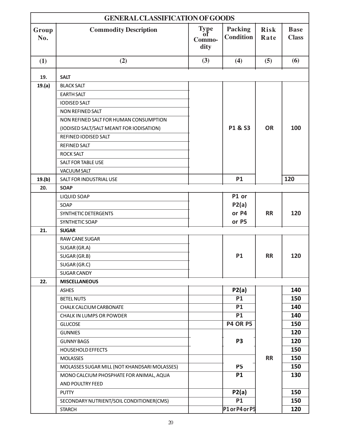|              | <b>GENERAL CLASSIFICATION OF GOODS</b>       |                                     |                                    |                     |                             |  |
|--------------|----------------------------------------------|-------------------------------------|------------------------------------|---------------------|-----------------------------|--|
| Group<br>No. | <b>Commodity Description</b>                 | <b>Type</b><br>0Ť<br>Commo-<br>dity | <b>Packing</b><br><b>Condition</b> | <b>Risk</b><br>Rate | <b>Base</b><br><b>Class</b> |  |
| (1)          | (2)                                          | (3)                                 | (4)                                | (5)                 | (6)                         |  |
|              |                                              |                                     |                                    |                     |                             |  |
| 19.          | <b>SALT</b>                                  |                                     |                                    |                     |                             |  |
| 19.(a)       | <b>BLACK SALT</b>                            |                                     |                                    |                     |                             |  |
|              | <b>EARTH SALT</b>                            |                                     |                                    |                     |                             |  |
|              | <b>IODISED SALT</b><br>NON REFINED SALT      |                                     |                                    |                     |                             |  |
|              | NON REFINED SALT FOR HUMAN CONSUMPTION       |                                     |                                    |                     |                             |  |
|              | (IODISED SALT/SALT MEANT FOR IODISATION)     |                                     | P1 & S3                            | <b>OR</b>           | 100                         |  |
|              | REFINED IODISED SALT                         |                                     |                                    |                     |                             |  |
|              | <b>REFINED SALT</b>                          |                                     |                                    |                     |                             |  |
|              | <b>ROCK SALT</b>                             |                                     |                                    |                     |                             |  |
|              | <b>SALT FOR TABLE USE</b>                    |                                     |                                    |                     |                             |  |
|              | <b>VACUUM SALT</b>                           |                                     |                                    |                     |                             |  |
| 19.(b)       | SALT FOR INDUSTRIAL USE                      |                                     | <b>P1</b>                          |                     | 120                         |  |
| 20.          | <b>SOAP</b>                                  |                                     |                                    |                     |                             |  |
|              | <b>LIQUID SOAP</b>                           |                                     | P1 or                              |                     |                             |  |
|              | SOAP                                         |                                     | P2(a)                              |                     |                             |  |
|              | SYNTHETIC DETERGENTS                         |                                     | or P4                              | <b>RR</b>           | 120                         |  |
|              | SYNTHETIC SOAP                               |                                     | or P5                              |                     |                             |  |
| 21.          | <b>SUGAR</b>                                 |                                     |                                    |                     |                             |  |
|              | <b>RAW CANE SUGAR</b>                        |                                     |                                    |                     |                             |  |
|              | SUGAR (GR.A)                                 |                                     |                                    |                     |                             |  |
|              | SUGAR (GR.B)                                 |                                     | <b>P1</b>                          | <b>RR</b>           | 120                         |  |
|              | SUGAR (GR.C)                                 |                                     |                                    |                     |                             |  |
|              | <b>SUGAR CANDY</b>                           |                                     |                                    |                     |                             |  |
| 22.          | <b>MISCELLANEOUS</b>                         |                                     |                                    |                     |                             |  |
|              | <b>ASHES</b>                                 |                                     | P2(a)                              |                     | 140                         |  |
|              | <b>BETEL NUTS</b>                            |                                     | <b>P1</b>                          |                     | 150                         |  |
|              | CHALK CALCIUM CARBONATE                      |                                     | <b>P1</b>                          |                     | 140                         |  |
|              | CHALK IN LUMPS OR POWDER                     |                                     | <b>P1</b>                          |                     | 140                         |  |
|              | <b>GLUCOSE</b>                               |                                     | <b>P4 OR P5</b>                    |                     | 150                         |  |
|              | <b>GUNNIES</b>                               |                                     |                                    |                     | 120                         |  |
|              | <b>GUNNY BAGS</b>                            |                                     | P <sub>3</sub>                     |                     | 120                         |  |
|              | <b>HOUSEHOLD EFFECTS</b>                     |                                     |                                    |                     | 150                         |  |
|              | <b>MOLASSES</b>                              |                                     |                                    | <b>RR</b>           | 150                         |  |
|              | MOLASSES SUGAR MILL (NOT KHANDSARI MOLASSES) |                                     | <b>P5</b>                          |                     | 150                         |  |
|              | MONO CALCIUM PHOSPHATE FOR ANIMAL, AQUA      |                                     | <b>P1</b>                          |                     | 130                         |  |
|              | AND POULTRY FEED                             |                                     |                                    |                     |                             |  |
|              | <b>PUTTY</b>                                 |                                     | P2(a)                              |                     | 150                         |  |
|              | SECONDARY NUTRIENT/SOIL CONDITIONER(CMS)     |                                     | <b>P1</b>                          |                     | 150                         |  |
|              | <b>STARCH</b>                                |                                     | P1 or P4 or P5                     |                     | 120                         |  |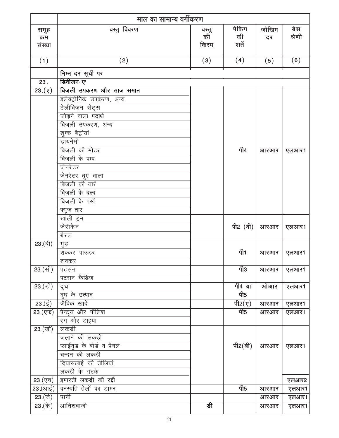|                                                          | माल का सामान्य वर्गीकरण  |                      |                                       |             |               |  |  |
|----------------------------------------------------------|--------------------------|----------------------|---------------------------------------|-------------|---------------|--|--|
| समूह<br>क्रम<br>संख्या                                   | वस्तु विवरण              | वस्तु<br>कीँ<br>किरम | पेकिंग<br>की<br>शर्तें                | जोखिम<br>दर | बेस<br>श्रेणी |  |  |
| (1)                                                      | (2)                      | (3)                  | (4)                                   | (5)         | (6)           |  |  |
|                                                          | निम्न दर सूची पर         |                      |                                       |             |               |  |  |
| 23.                                                      | डिवीजन-'ए'               |                      |                                       |             |               |  |  |
| (7)(23)                                                  | बिजली उपकरण और साज समान  |                      |                                       |             |               |  |  |
|                                                          | इलैक्ट्रोनिक उपकरण, अन्य |                      |                                       |             |               |  |  |
|                                                          | टेलीविज़न सेट्स          |                      |                                       |             |               |  |  |
|                                                          | जोड़ने वाला पदार्थ       |                      |                                       |             |               |  |  |
|                                                          | <u>बिजली उपकरण, अन्य</u> |                      |                                       |             |               |  |  |
|                                                          | शुष्क बैट्रीयां          |                      |                                       |             |               |  |  |
|                                                          | डायनेमो                  |                      |                                       |             |               |  |  |
|                                                          | बिजली की मोटर            |                      | पी4                                   | आरआर        | एलआर1         |  |  |
|                                                          | बिजली के पम्प            |                      |                                       |             |               |  |  |
|                                                          | जेनरेटर                  |                      |                                       |             |               |  |  |
|                                                          | जेनरेटर धूएं वाला        |                      |                                       |             |               |  |  |
|                                                          | बिजली की तारें           |                      |                                       |             |               |  |  |
|                                                          | बिजली के बल्ब            |                      |                                       |             |               |  |  |
|                                                          | बिजली के पंखें           |                      |                                       |             |               |  |  |
|                                                          | फ्यूज़ तार               |                      |                                       |             |               |  |  |
|                                                          | खाली ड्रम                |                      |                                       |             |               |  |  |
|                                                          | जेरीकैन                  |                      | पी2 (बी)                              | आरआर        | एलआर1         |  |  |
|                                                          | बैरल                     |                      |                                       |             |               |  |  |
| 23.(बी)                                                  | गुड़                     |                      | पी1                                   |             |               |  |  |
|                                                          | शक्कर पाउडर              |                      |                                       | आरआर        | एलआर1         |  |  |
| <b>23</b> (सी)                                           | शक्कर<br>पटसन            |                      | पी3                                   | आरआर        | एलआर1         |  |  |
|                                                          | पटसन कैडिज               |                      |                                       |             |               |  |  |
| 23.(डी)                                                  | दूध                      |                      | पी4 या                                | ओआर         | एलआर1         |  |  |
|                                                          | दूध के उत्पाद            |                      | पी5                                   |             |               |  |  |
| $23.(\frac{5}{5})$                                       | जैविक खादें              |                      | <u>पी2<math>(\overline{q})</math></u> | आरआर        | एलआर1         |  |  |
| $\overline{23.(\overline{\text{y}}\overline{\text{y}})}$ | पेन्ट्स और पॉलिश         |                      | पी5                                   | आरआर        | एलआर1         |  |  |
|                                                          | रंग और डाइयां            |                      |                                       |             |               |  |  |
| $23.$ (जी)                                               | लकड़ी                    |                      |                                       |             |               |  |  |
|                                                          | जलाने की लकड़ी           |                      |                                       |             |               |  |  |
|                                                          | प्लाईवुड के बोर्ड व पैनल |                      | पी2 $(d)$                             | आरआर        | एलआर1         |  |  |
|                                                          | चन्दन की लकड़ी           |                      |                                       |             |               |  |  |
|                                                          | दियासलाई की तीलियां      |                      |                                       |             |               |  |  |
|                                                          | लकड़ी के गुटके           |                      |                                       |             |               |  |  |
| 23.(एच)                                                  | इमारती लकड़ी की रद्दी    |                      |                                       |             | एलआर2         |  |  |
| 23 (आई)                                                  | वनस्पति तेलों का डामर    |                      | पी5                                   | आरआर        | एलआर1         |  |  |
| 23.(जे)                                                  | पानी                     |                      |                                       | आरआर        | एलआर1         |  |  |
| 23. $(\dot{\overline{\Phi}})$                            | आतिशबाजी                 | डी                   |                                       | आरआर        | एलआर1         |  |  |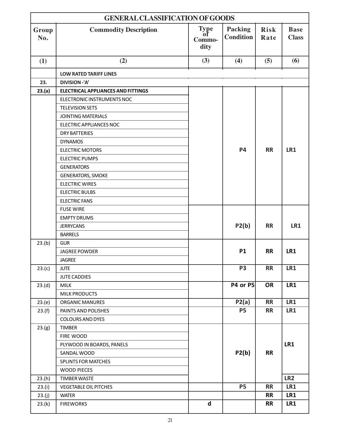|              | <b>GENERAL CLASSIFICATION OF GOODS</b>    |                                     |                                    |                     |                             |  |
|--------------|-------------------------------------------|-------------------------------------|------------------------------------|---------------------|-----------------------------|--|
| Group<br>No. | <b>Commodity Description</b>              | <b>Type</b><br>ot<br>Commo-<br>dity | <b>Packing</b><br><b>Condition</b> | <b>Risk</b><br>Rate | <b>Base</b><br><b>Class</b> |  |
| (1)          | (2)                                       | (3)                                 | (4)                                | (5)                 | (6)                         |  |
|              | <b>LOW RATED TARIFF LINES</b>             |                                     |                                    |                     |                             |  |
| 23.          | DIVISION-'A'                              |                                     |                                    |                     |                             |  |
| 23.(a)       | <b>ELECTRICAL APPLIANCES AND FITTINGS</b> |                                     |                                    |                     |                             |  |
|              | ELECTRONIC INSTRUMENTS NOC                |                                     |                                    |                     |                             |  |
|              | <b>TELEVISION SETS</b>                    |                                     |                                    |                     |                             |  |
|              | <b>JOINTING MATERIALS</b>                 |                                     |                                    |                     |                             |  |
|              | <b>ELECTRIC APPLIANCES NOC</b>            |                                     |                                    |                     |                             |  |
|              | <b>DRY BATTERIES</b>                      |                                     |                                    |                     |                             |  |
|              | <b>DYNAMOS</b>                            |                                     |                                    |                     |                             |  |
|              | <b>ELECTRIC MOTORS</b>                    |                                     | <b>P4</b>                          | <b>RR</b>           | LR1                         |  |
|              | <b>ELECTRIC PUMPS</b>                     |                                     |                                    |                     |                             |  |
|              | <b>GENERATORS</b>                         |                                     |                                    |                     |                             |  |
|              | <b>GENERATORS, SMOKE</b>                  |                                     |                                    |                     |                             |  |
|              | <b>ELECTRIC WIRES</b>                     |                                     |                                    |                     |                             |  |
|              | <b>ELECTRIC BULBS</b>                     |                                     |                                    |                     |                             |  |
|              | <b>ELECTRIC FANS</b>                      |                                     |                                    |                     |                             |  |
|              | <b>FUSE WIRE</b>                          |                                     |                                    |                     |                             |  |
|              | <b>EMPTY DRUMS</b>                        |                                     |                                    |                     |                             |  |
|              | <b>JERRYCANS</b>                          |                                     | P2(b)                              | <b>RR</b>           | LR1                         |  |
|              | <b>BARRELS</b>                            |                                     |                                    |                     |                             |  |
| 23.(b)       | <b>GUR</b>                                |                                     |                                    |                     |                             |  |
|              | <b>JAGREE POWDER</b>                      |                                     | <b>P1</b>                          | <b>RR</b>           | LR1                         |  |
|              | <b>JAGREE</b>                             |                                     |                                    |                     |                             |  |
| 23.(c)       | <b>JUTE</b>                               |                                     | <b>P3</b>                          | <b>RR</b>           | LR1                         |  |
|              | <b>JUTE CADDIES</b>                       |                                     | <b>P4 or P5</b>                    | <b>OR</b>           | LR1                         |  |
| 23.(d)       | <b>MILK</b><br><b>MILK PRODUCTS</b>       |                                     |                                    |                     |                             |  |
| 23.(e)       | ORGANIC MANURES                           |                                     | P2(a)                              | <b>RR</b>           | LR1                         |  |
| 23.(f)       | PAINTS AND POLISHES                       |                                     | <b>P5</b>                          | <b>RR</b>           | LR1                         |  |
|              | <b>COLOURS AND DYES</b>                   |                                     |                                    |                     |                             |  |
| 23.(g)       | <b>TIMBER</b>                             |                                     |                                    |                     |                             |  |
|              | FIRE WOOD                                 |                                     |                                    |                     |                             |  |
|              | PLYWOOD IN BOARDS, PANELS                 |                                     |                                    |                     | LR1                         |  |
|              | SANDAL WOOD                               |                                     | P2(b)                              | <b>RR</b>           |                             |  |
|              | <b>SPLINTS FOR MATCHES</b>                |                                     |                                    |                     |                             |  |
|              | <b>WOOD PIECES</b>                        |                                     |                                    |                     |                             |  |
| 23.(h)       | <b>TIMBER WASTE</b>                       |                                     |                                    |                     | LR <sub>2</sub>             |  |
| 23.(i)       | <b>VEGETABLE OIL PITCHES</b>              |                                     | <b>P5</b>                          | <b>RR</b>           | LR1                         |  |
| 23.(j)       | <b>WATER</b>                              |                                     |                                    | <b>RR</b>           | LR1                         |  |
| 23.(k)       | <b>FIREWORKS</b>                          | $\mathsf{d}$                        |                                    | <b>RR</b>           | LR1                         |  |
|              |                                           |                                     |                                    |                     |                             |  |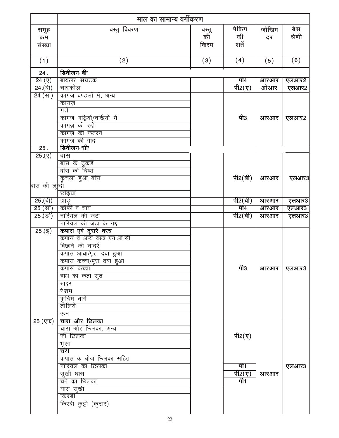|                                | माल का सामान्य वर्गीकरण      |                      |                                   |             |               |
|--------------------------------|------------------------------|----------------------|-----------------------------------|-------------|---------------|
| समूह<br>क्रम<br>संख्या         | वस्तु विवरण                  | वस्तु<br>कीँ<br>किरम | पेकिंग<br>की<br>शर्तें            | जोखिम<br>दर | बेस<br>श्रेणी |
| (1)                            | (2)                          | (3)                  | (4)                               | (5)         | (6)           |
| 24.                            | डिवीजन-'बी'                  |                      |                                   |             |               |
| $\overline{24.(\overline{y})}$ | बायलर संघटक                  |                      | पी4                               | आरआर        | एलआर2         |
| $\overline{24.}$ (बी)          | चारकोल                       |                      | <u>पी2<math>(</math>ए)</u>        | ओआर         | एलआर2         |
| $\overline{24.}$ (सी)          | कागज बण्डलों में, अन्य       |                      |                                   |             |               |
|                                | कागज़                        |                      |                                   |             |               |
|                                | गते                          |                      |                                   |             |               |
|                                | कागज़ गड्डियों/चर्खियों में  |                      | पी3                               | आरआर        | एलआर2         |
|                                | कागज़ की रद्दी               |                      |                                   |             |               |
|                                | कागज़ की कतरन                |                      |                                   |             |               |
| $\overline{25}$ .              | कागज़ की गाद<br>डिवीजन-'सी'  |                      |                                   |             |               |
| $25.(\nabla)$                  | बांस                         |                      |                                   |             |               |
|                                | बांस के टुकडे                |                      |                                   |             |               |
|                                | बांस की चिप्स                |                      |                                   |             |               |
|                                | कुचला हुआ बांस               |                      | पी2 $(d)$                         | आरआर        | एलआर3         |
| बांस की लुर्न्दी               |                              |                      |                                   |             |               |
|                                | छड़ियां                      |                      |                                   |             |               |
| $25.$ (बी)                     | झाड़                         |                      | पी2(बी)                           | आरआर        | एलआर3         |
| $25.$ (सी)                     | कॉफी व चाय                   |                      | पी4                               | आरआर        | एलआर3         |
| $25.$ (डी)                     | नारियल की जटा                |                      | <u> पी2(बी)</u>                   | आरआर        | एलआर3         |
|                                | नारियल की जटा के गद्दे       |                      |                                   |             |               |
| 25.(ई)                         | कपास एवं दूसरे वस्त्र        |                      |                                   |             |               |
|                                | कपास व अन्य वस्त्र एन.ओ.सी.  |                      |                                   |             |               |
|                                | बिछाने की चादरें             |                      |                                   |             |               |
|                                | कपास आधा/पूरा दबा हुआ        |                      |                                   |             |               |
|                                | कपास कच्चा/पूरा दबा हुआ      |                      | पी3                               |             |               |
|                                | कपास कच्चा<br>हाथ का कता सूत |                      |                                   | आरआर        | एलआर3         |
|                                | खद्दर                        |                      |                                   |             |               |
|                                | <u>रेशम</u>                  |                      |                                   |             |               |
|                                | कृत्रिम धार्गे               |                      |                                   |             |               |
|                                | तौलिये                       |                      |                                   |             |               |
|                                | ऊन                           |                      |                                   |             |               |
| $25.$ (एफ)                     | चारा और छिलका                |                      |                                   |             |               |
|                                | चारा और छिलका, अन्य          |                      |                                   |             |               |
|                                | जों छिलका                    |                      | पी2(ए)                            |             |               |
|                                | भूसा                         |                      |                                   |             |               |
|                                | चरी                          |                      |                                   |             |               |
|                                | कपास के बीज छिलका सहित       |                      |                                   |             |               |
|                                | नारियल का छिलका              |                      | पी1                               |             | एलआर3         |
|                                | सूखी घास                     |                      | <u>पी2<math>(</math>ए)</u><br>पी1 | आरआर        |               |
|                                | चने का छिलका                 |                      |                                   |             |               |
|                                | घास सूखी<br>किरबी            |                      |                                   |             |               |
|                                | किरबी कुट्टी (कुटार)         |                      |                                   |             |               |
|                                |                              |                      |                                   |             |               |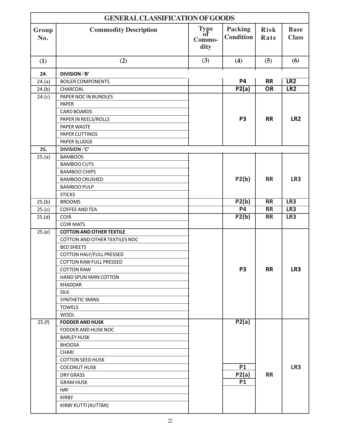|              | <b>GENERAL CLASSIFICATION OF GOODS</b> |                                     |                             |                          |                             |  |
|--------------|----------------------------------------|-------------------------------------|-----------------------------|--------------------------|-----------------------------|--|
| Group<br>No. | <b>Commodity Description</b>           | <b>Type</b><br>оť<br>Commo-<br>dity | Packing<br><b>Condition</b> | <b>Risk</b><br>Rate      | <b>Base</b><br><b>Class</b> |  |
| (1)          | (2)                                    | (3)                                 | (4)                         | (5)                      | (6)                         |  |
| 24.          | <b>DIVISION-'B'</b>                    |                                     |                             |                          |                             |  |
| 24.(a)       | <b>BOILER COMPONENTS</b>               |                                     | $\overline{P4}$             | $\overline{\mathsf{RR}}$ | LR2                         |  |
| 24.(b)       | CHARCOAL                               |                                     | P2(a)                       | $\overline{OR}$          | LR2                         |  |
| 24.(c)       | PAPER NOC IN BUNDLES                   |                                     |                             |                          |                             |  |
|              | <b>PAPER</b>                           |                                     |                             |                          |                             |  |
|              | <b>CARD BOARDS</b>                     |                                     |                             |                          |                             |  |
|              | PAPER IN REELS/ROLLS                   |                                     | P <sub>3</sub>              | <b>RR</b>                | LR <sub>2</sub>             |  |
|              | PAPER WASTE                            |                                     |                             |                          |                             |  |
|              | PAPER CUTTINGS                         |                                     |                             |                          |                             |  |
|              | PAPER SLUDGE                           |                                     |                             |                          |                             |  |
| 25.          | <b>DIVISION-'C'</b>                    |                                     |                             |                          |                             |  |
| 25.(a)       | <b>BAMBOOS</b>                         |                                     |                             |                          |                             |  |
|              | <b>BAMBOO CUTS</b>                     |                                     |                             |                          |                             |  |
|              | <b>BAMBOO CHIPS</b>                    |                                     |                             |                          |                             |  |
|              | <b>BAMBOO CRUSHED</b>                  |                                     | P2(b)                       | <b>RR</b>                | LR3                         |  |
|              | <b>BAMBOO PULP</b>                     |                                     |                             |                          |                             |  |
|              | <b>STICKS</b>                          |                                     |                             |                          |                             |  |
| 25.(b)       | <b>BROOMS</b>                          |                                     | P2(b)                       | $\overline{\mathsf{RR}}$ | LR3                         |  |
| 25.(c)       | <b>COFFEE AND TEA</b>                  |                                     | P <sub>4</sub>              | <b>RR</b>                | LR3                         |  |
| 25.(d)       | <b>COIR</b>                            |                                     | P2(b)                       | $\overline{\mathsf{RR}}$ | LR3                         |  |
|              | <b>COIR MATS</b>                       |                                     |                             |                          |                             |  |
| 25.(e)       | <b>COTTON AND OTHER TEXTILE</b>        |                                     |                             |                          |                             |  |
|              | <b>COTTON AND OTHER TEXTILES NOC</b>   |                                     |                             |                          |                             |  |
|              | <b>BED SHEETS</b>                      |                                     |                             |                          |                             |  |
|              | <b>COTTON HALF/FULL PRESSED</b>        |                                     |                             |                          |                             |  |
|              | <b>COTTON RAW FULL PRESSED</b>         |                                     |                             |                          |                             |  |
|              | <b>COTTON RAW</b>                      |                                     | <b>P3</b>                   | <b>RR</b>                | LR3                         |  |
|              | <b>HAND SPUN YARN COTTON</b>           |                                     |                             |                          |                             |  |
|              | <b>KHADDAR</b>                         |                                     |                             |                          |                             |  |
|              | <b>SILK</b>                            |                                     |                             |                          |                             |  |
|              | SYNTHETIC YARNS                        |                                     |                             |                          |                             |  |
|              | <b>TOWELS</b><br><b>WOOL</b>           |                                     |                             |                          |                             |  |
| 25.(f)       | <b>FODDER AND HUSK</b>                 |                                     | P2(a)                       |                          |                             |  |
|              | FODDER AND HUSK NOC                    |                                     |                             |                          |                             |  |
|              | <b>BARLEY HUSK</b>                     |                                     |                             |                          |                             |  |
|              | <b>BHOOSA</b>                          |                                     |                             |                          |                             |  |
|              | <b>CHARI</b>                           |                                     |                             |                          |                             |  |
|              | <b>COTTON SEED HUSK</b>                |                                     |                             |                          |                             |  |
|              | <b>COCONUT HUSK</b>                    |                                     | <b>P1</b>                   |                          | LR3                         |  |
|              | DRY GRASS                              |                                     | P2(a)                       | <b>RR</b>                |                             |  |
|              | <b>GRAM HUSK</b>                       |                                     | <b>P1</b>                   |                          |                             |  |
|              | <b>HAY</b>                             |                                     |                             |                          |                             |  |
|              | <b>KIRBY</b>                           |                                     |                             |                          |                             |  |
|              | KIRBY KUTTI (KUTTAR)                   |                                     |                             |                          |                             |  |
|              |                                        |                                     |                             |                          |                             |  |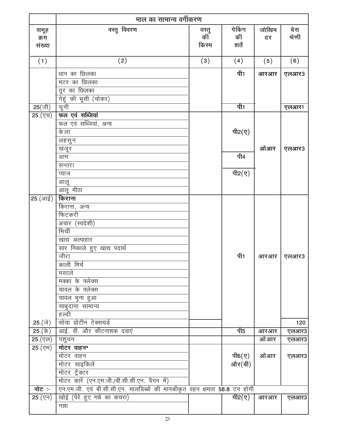|                                               | माल का सामान्य वर्गीकरण                                                   |             |                 |       |        |  |
|-----------------------------------------------|---------------------------------------------------------------------------|-------------|-----------------|-------|--------|--|
| समूह                                          | वस्तु विवरण                                                               |             | पेकिंग          | जोखिम | बेस    |  |
| क्रम                                          |                                                                           | वस्तु<br>की | की              | दर    | श्रेणी |  |
| संख्या                                        |                                                                           | किरम        | शर्तें          |       |        |  |
| (1)                                           | (2)                                                                       | (3)         | (4)             | (5)   | (6)    |  |
|                                               | धान का छिलका                                                              |             | पी1             | आरआर  |        |  |
|                                               | मटर का छिलका                                                              |             |                 |       | एलआर3  |  |
|                                               | तूर का छिलका                                                              |             |                 |       |        |  |
|                                               | गेहूं की भूसी (चोकर)                                                      |             |                 |       |        |  |
| $25(\text{ft})$                               | चूनी                                                                      |             | पी1             |       | एलआर1  |  |
| $25.$ (एच)                                    | फल एवं सब्जियां                                                           |             |                 |       |        |  |
|                                               | फल एवं सब्जियां, अन्य                                                     |             |                 |       |        |  |
|                                               | के ला                                                                     |             | पी2 $(y)$       |       |        |  |
|                                               | लहसुन                                                                     |             |                 |       |        |  |
|                                               | खजूर                                                                      |             |                 | ओआर   | एलआर3  |  |
|                                               | आम                                                                        |             | पी4             |       |        |  |
|                                               | सन्तरा                                                                    |             |                 |       |        |  |
|                                               | प्याज                                                                     |             | पी2 $(y)$       |       |        |  |
|                                               | आलू                                                                       |             |                 |       |        |  |
|                                               | आलू मीठा                                                                  |             |                 |       |        |  |
| $25.(3\text{H}\bar{z})$                       | किराना                                                                    |             |                 |       |        |  |
|                                               | किराना, अन्य                                                              |             |                 |       |        |  |
|                                               | फिटकरी                                                                    |             |                 |       |        |  |
|                                               | अचार (स्वदेशी)<br>मिर्ची                                                  |             |                 |       |        |  |
|                                               |                                                                           |             |                 |       |        |  |
|                                               | खाद्य अल्पाहार<br>सार निकाले हुए खाद्य पदार्थ                             |             |                 |       |        |  |
|                                               | जीरा                                                                      |             | पी1             | आरआर  | एलआर3  |  |
|                                               | काली मिर्च                                                                |             |                 |       |        |  |
|                                               | मसाले                                                                     |             |                 |       |        |  |
|                                               | मक्का के फ्लेक्स                                                          |             |                 |       |        |  |
|                                               | चावल के फ्लेक्स                                                           |             |                 |       |        |  |
|                                               | चावल भुना हुआ                                                             |             |                 |       |        |  |
|                                               | साबुदाना सामान्य                                                          |             |                 |       |        |  |
|                                               | हल्दी                                                                     |             |                 |       |        |  |
| 25 (जे)                                       | सोया प्रोटीन टेक्सचर्ड                                                    |             |                 |       | 120    |  |
| 25.(के)                                       | आई. वी. और कीटनाशक दवाएं                                                  |             | पी5             | आरआर  | एलआर3  |  |
| $25.$ (एल)                                    | पशुधन                                                                     |             |                 | ओ आर  | एलआर3  |  |
| $25.(\overline{VH})$                          | मोटर वाहन*                                                                |             |                 |       |        |  |
|                                               | मोटर वाहन                                                                 |             | पी6 $($ ए)      | ओआर   | एलआर3  |  |
|                                               | मोटर साइकिलें                                                             |             | और(बी)          |       |        |  |
|                                               | मोटर ट्रैक्टर                                                             |             |                 |       |        |  |
|                                               | मोटर कारें (एन.एम.जी./बी.सी.सी.एन. वैगन में)                              |             |                 |       |        |  |
| नोट :-                                        | एन.एम.जी. एवं बी.सी.सी.एन. मालडिब्बों की मानकीकृत वहन क्षमता 58.8 टन होगी |             |                 |       |        |  |
| $25.(\overline{\text{y}}\overline{\text{y}})$ | खोई (पेरे हुए गन्ने का कचरा)                                              |             | पी2 $(\bar{y})$ | आरआर  | एलआर3  |  |
|                                               | गन्ना                                                                     |             |                 |       |        |  |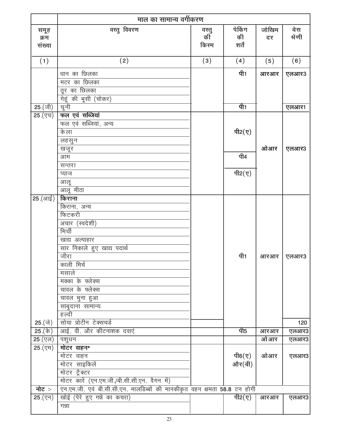|                                                   | माल का सामान्य वर्गीकरण                                                   |             |                                       |       |        |  |
|---------------------------------------------------|---------------------------------------------------------------------------|-------------|---------------------------------------|-------|--------|--|
| समूह                                              | वस्तु विवरण                                                               |             | पेकिंग                                | जोखिम | बेस    |  |
| क्रम                                              |                                                                           | वस्तु<br>की | की                                    | दर    | श्रेणी |  |
| संख्या                                            |                                                                           | किरम        | शर्तें                                |       |        |  |
| (1)                                               |                                                                           | (3)         | (4)                                   |       | (6)    |  |
|                                                   | (2)                                                                       |             |                                       | (5)   |        |  |
|                                                   | धान का छिलका                                                              |             | पी1                                   | आरआर  | एलआर3  |  |
|                                                   | मटर का छिलका                                                              |             |                                       |       |        |  |
|                                                   | तूर का छिलका                                                              |             |                                       |       |        |  |
|                                                   | गेहूं की भूसी (चोकर)                                                      |             |                                       |       |        |  |
| $\overline{25.}$ (जी)                             | चूनी                                                                      |             | पी1                                   |       | एलआर1  |  |
| $\overline{25.(\nabla \overline{\tau})}$          | फल एवं सब्जियां                                                           |             |                                       |       |        |  |
|                                                   | फल एवं सब्जियां, अन्य<br>के ला                                            |             | पी2 $(y)$                             |       |        |  |
|                                                   |                                                                           |             |                                       |       |        |  |
|                                                   | लहसुन<br>खजूर                                                             |             |                                       | ओआर   | एलआर3  |  |
|                                                   | आम                                                                        |             | पी4                                   |       |        |  |
|                                                   | सन्तरा                                                                    |             |                                       |       |        |  |
|                                                   | प्याज                                                                     |             | पी2(ए)                                |       |        |  |
|                                                   | आलू                                                                       |             |                                       |       |        |  |
|                                                   | आलू मीठा                                                                  |             |                                       |       |        |  |
| <b>25</b> (आई)                                    | किराना                                                                    |             |                                       |       |        |  |
|                                                   | किराना, अन्य                                                              |             |                                       |       |        |  |
|                                                   | फिटकरी                                                                    |             |                                       |       |        |  |
|                                                   | अचार (स्वदेशी)                                                            |             |                                       |       |        |  |
|                                                   | मिर्ची                                                                    |             |                                       |       |        |  |
|                                                   | खाद्य अल्पाहार                                                            |             |                                       |       |        |  |
|                                                   | सार निकाले हुए खाद्य पदार्थ                                               |             |                                       |       |        |  |
|                                                   | जीरा                                                                      |             | पी1                                   | आरआर  | एलआर3  |  |
|                                                   | काली मिर्च                                                                |             |                                       |       |        |  |
|                                                   | मसाले                                                                     |             |                                       |       |        |  |
|                                                   | मक्का के फ्लेक्स                                                          |             |                                       |       |        |  |
|                                                   | चावल के फ्लेक्स                                                           |             |                                       |       |        |  |
|                                                   | चावल भुना हुआ                                                             |             |                                       |       |        |  |
|                                                   | साबुदाना सामान्य<br>हल्दी                                                 |             |                                       |       |        |  |
| 25 (जे)                                           | सोया प्रोटीन टेक्सचर्ड                                                    |             |                                       |       | 120    |  |
| 25.(के)                                           | आई. वी. और कीटनाशक दवाएं                                                  |             | पी5                                   | आरआर  | एलआर3  |  |
| $\overline{25.(\overline{\mathtt{y}\mathtt{c}})}$ | पशुधन                                                                     |             |                                       | ओआर   | एलआर3  |  |
| $25.(\overline{VH})$                              | मोटर वाहन*                                                                |             |                                       |       |        |  |
|                                                   | मोटर वाहन                                                                 |             | पी6 $(\nabla)$                        | ओआर   | एलआर3  |  |
|                                                   | मोटर साइकिलें                                                             |             | और(बी)                                |       |        |  |
|                                                   | मोटर ट्रैक्टर                                                             |             |                                       |       |        |  |
|                                                   | मोटर कारें (एन.एम.जी./बी.सी.सी.एन. वैगन में)                              |             |                                       |       |        |  |
| नोट :-                                            | एन.एम.जी. एवं बी.सी.सी.एन. मालडिब्बों की मानकीकृत वहन क्षमता 58.8 टन होगी |             |                                       |       |        |  |
| $25.(\overline{\nabla}{\bf 1})$                   | खोई (पेरे हुए गन्ने का कचरा)                                              |             | <u>पी2<math>(\overline{q})</math></u> | आरआर  | एलआर3  |  |
|                                                   | गन्ना                                                                     |             |                                       |       |        |  |